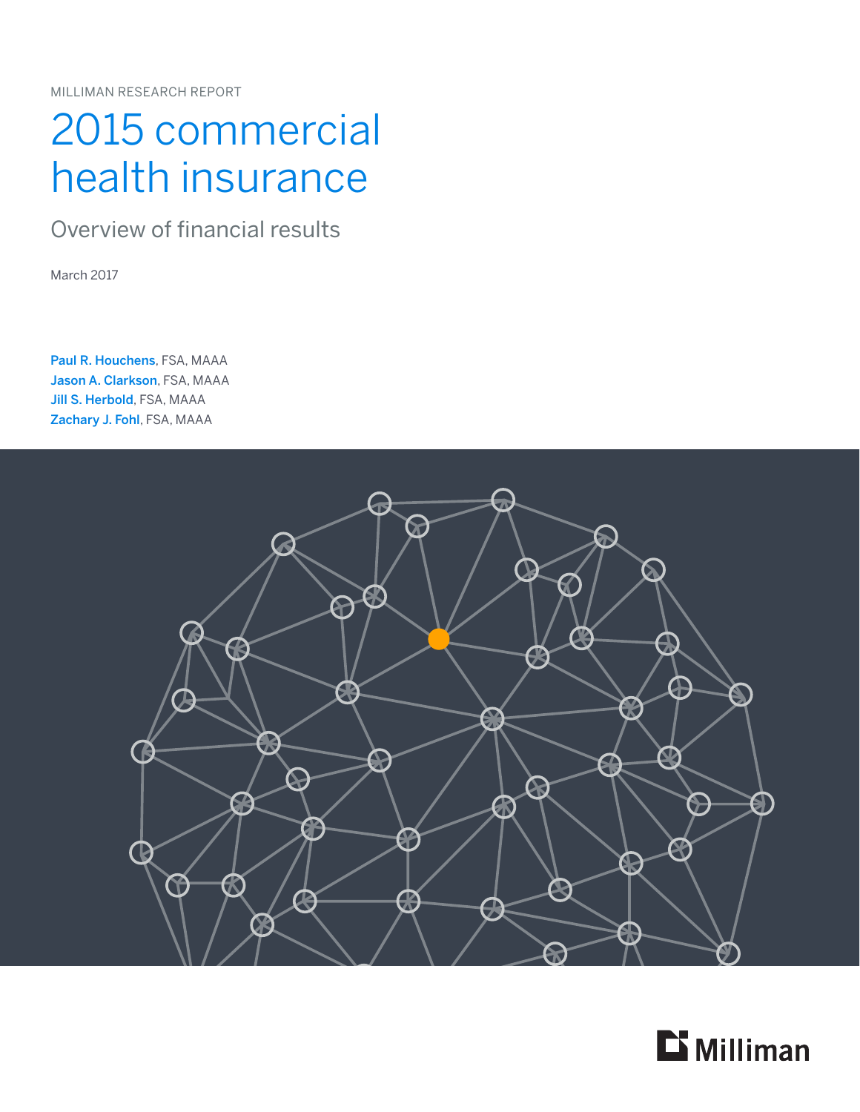MILLIMAN RESEARCH REPORT

# 2015 commercial health insurance

Overview of financial results

March 2017

Paul R. Houchens, FSA, MAAA Jason A. Clarkson, FSA, MAAA Jill S. Herbold, FSA, MAAA Zachary J. Fohl, FSA, MAAA



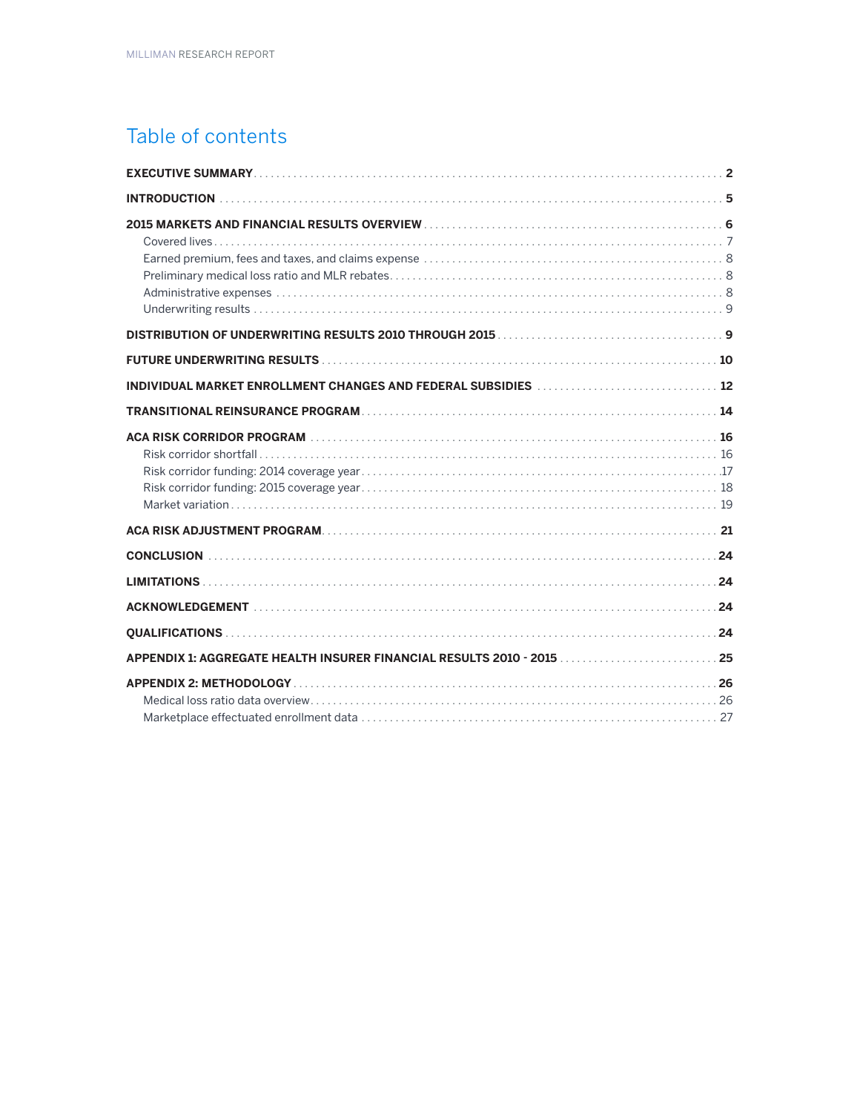### Table of contents

| <b>INTRODUCTION</b>                                                                                 |
|-----------------------------------------------------------------------------------------------------|
| 2015 MARKETS AND FINANCIAL RESULTS OVERVIEW MARKET AND MARKETS AND FINANCIAL RESULTS OVERVIEW (600) |
|                                                                                                     |
|                                                                                                     |
| INDIVIDUAL MARKET ENROLLMENT CHANGES AND FEDERAL SUBSIDIES  12                                      |
|                                                                                                     |
|                                                                                                     |
|                                                                                                     |
|                                                                                                     |
|                                                                                                     |
|                                                                                                     |
|                                                                                                     |
|                                                                                                     |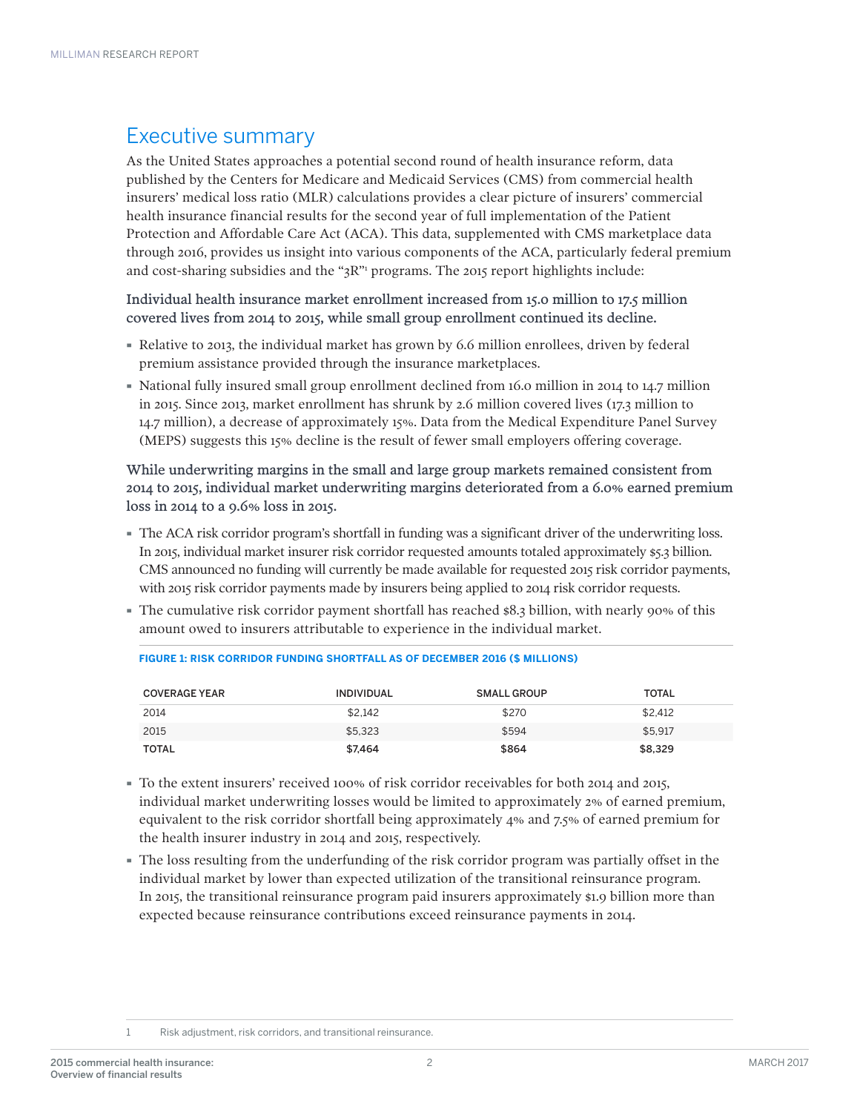### Executive summary

As the United States approaches a potential second round of health insurance reform, data published by the Centers for Medicare and Medicaid Services (CMS) from commercial health insurers' medical loss ratio (MLR) calculations provides a clear picture of insurers' commercial health insurance financial results for the second year of full implementation of the Patient Protection and Affordable Care Act (ACA). This data, supplemented with CMS marketplace data through 2016, provides us insight into various components of the ACA, particularly federal premium and cost-sharing subsidies and the " $3R$ " programs. The 2015 report highlights include:

Individual health insurance market enrollment increased from 15.0 million to 17.5 million covered lives from 2014 to 2015, while small group enrollment continued its decline.

- · Relative to 2013, the individual market has grown by 6.6 million enrollees, driven by federal premium assistance provided through the insurance marketplaces.
- · National fully insured small group enrollment declined from 16.0 million in 2014 to 14.7 million in 2015. Since 2013, market enrollment has shrunk by 2.6 million covered lives (17.3 million to 14.7 million), a decrease of approximately 15%. Data from the Medical Expenditure Panel Survey (MEPS) suggests this 15% decline is the result of fewer small employers offering coverage.

While underwriting margins in the small and large group markets remained consistent from 2014 to 2015, individual market underwriting margins deteriorated from a 6.0% earned premium loss in 2014 to a 9.6% loss in 2015.

- · The ACA risk corridor program's shortfall in funding was a significant driver of the underwriting loss. In 2015, individual market insurer risk corridor requested amounts totaled approximately \$5.3 billion. CMS announced no funding will currently be made available for requested 2015 risk corridor payments, with 2015 risk corridor payments made by insurers being applied to 2014 risk corridor requests.
- · The cumulative risk corridor payment shortfall has reached \$8.3 billion, with nearly 90% of this amount owed to insurers attributable to experience in the individual market.

| <b>COVERAGE YEAR</b> | <b>INDIVIDUAL</b> | <b>SMALL GROUP</b> | <b>TOTAL</b> |
|----------------------|-------------------|--------------------|--------------|
| 2014                 | \$2.142           | \$270              | \$2.412      |
| 2015                 | \$5.323           | \$594              | \$5.917      |
| TOTAL                | \$7.464           | \$864              | \$8.329      |

**FIGURE 1: RISK CORRIDOR FUNDING SHORTFALL AS OF DECEMBER 2016 (\$ MILLIONS)**

- · To the extent insurers' received 100% of risk corridor receivables for both 2014 and 2015, individual market underwriting losses would be limited to approximately 2% of earned premium, equivalent to the risk corridor shortfall being approximately 4% and 7.5% of earned premium for the health insurer industry in 2014 and 2015, respectively.
- · The loss resulting from the underfunding of the risk corridor program was partially offset in the individual market by lower than expected utilization of the transitional reinsurance program. In 2015, the transitional reinsurance program paid insurers approximately \$1.9 billion more than expected because reinsurance contributions exceed reinsurance payments in 2014.

<sup>1</sup> Risk adjustment, risk corridors, and transitional reinsurance.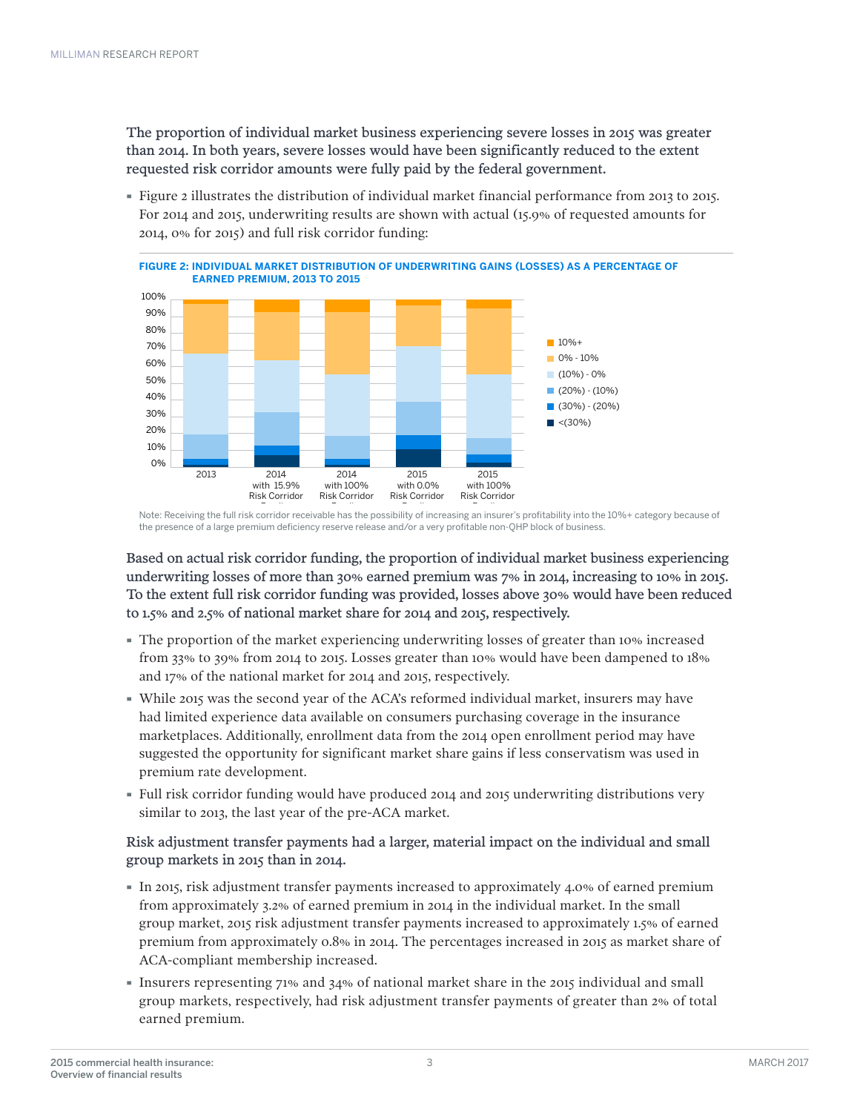The proportion of individual market business experiencing severe losses in 2015 was greater than 2014. In both years, severe losses would have been significantly reduced to the extent requested risk corridor amounts were fully paid by the federal government.

· Figure 2 illustrates the distribution of individual market financial performance from 2013 to 2015. For 2014 and 2015, underwriting results are shown with actual (15.9% of requested amounts for 2014, 0% for 2015) and full risk corridor funding:



.<br>Note: Receiving the full risk corridor receivable has the possibility of increasing an insurer's profitability into the 10%+ category because of the presence of a large premium deficiency reserve release and/or a very profitable non-QHP block of business.

Based on actual risk corridor funding, the proportion of individual market business experiencing underwriting losses of more than 30% earned premium was 7% in 2014, increasing to 10% in 2015. To the extent full risk corridor funding was provided, losses above 30% would have been reduced to 1.5% and 2.5% of national market share for 2014 and 2015, respectively.

- · The proportion of the market experiencing underwriting losses of greater than 10% increased from 33% to 39% from 2014 to 2015. Losses greater than 10% would have been dampened to 18% and 17% of the national market for 2014 and 2015, respectively.
- · While 2015 was the second year of the ACA's reformed individual market, insurers may have had limited experience data available on consumers purchasing coverage in the insurance marketplaces. Additionally, enrollment data from the 2014 open enrollment period may have suggested the opportunity for significant market share gains if less conservatism was used in premium rate development.
- · Full risk corridor funding would have produced 2014 and 2015 underwriting distributions very similar to 2013, the last year of the pre-ACA market.

Risk adjustment transfer payments had a larger, material impact on the individual and small group markets in 2015 than in 2014.

- · In 2015, risk adjustment transfer payments increased to approximately 4.0% of earned premium from approximately 3.2% of earned premium in 2014 in the individual market. In the small group market, 2015 risk adjustment transfer payments increased to approximately 1.5% of earned premium from approximately 0.8% in 2014. The percentages increased in 2015 as market share of ACA-compliant membership increased.
- · Insurers representing 71% and 34% of national market share in the 2015 individual and small group markets, respectively, had risk adjustment transfer payments of greater than 2% of total earned premium.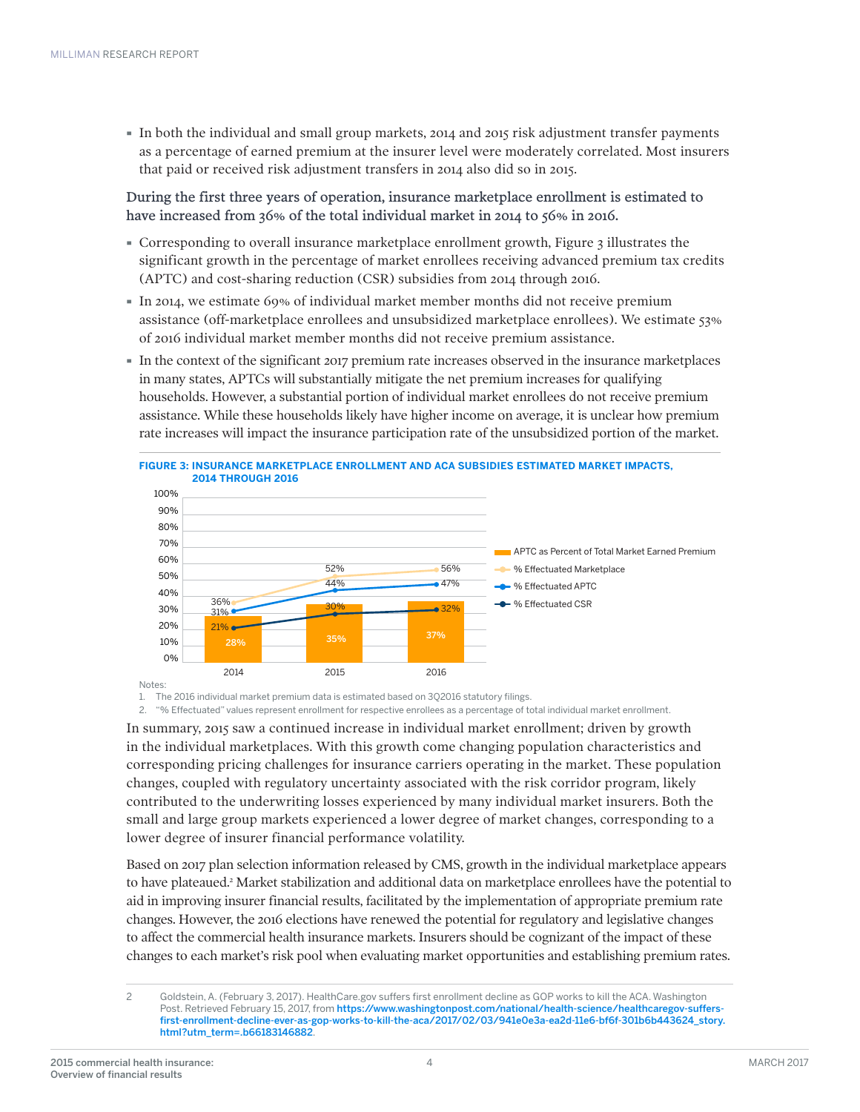· In both the individual and small group markets, 2014 and 2015 risk adjustment transfer payments as a percentage of earned premium at the insurer level were moderately correlated. Most insurers that paid or received risk adjustment transfers in 2014 also did so in 2015.

During the first three years of operation, insurance marketplace enrollment is estimated to have increased from 36% of the total individual market in 2014 to 56% in 2016.

- Corresponding to overall insurance marketplace enrollment growth, Figure 3 illustrates the significant growth in the percentage of market enrollees receiving advanced premium tax credits (APTC) and cost-sharing reduction (CSR) subsidies from 2014 through 2016.
- · In 2014, we estimate 69% of individual market member months did not receive premium assistance (off-marketplace enrollees and unsubsidized marketplace enrollees). We estimate 53% of 2016 individual market member months did not receive premium assistance.
- · In the context of the significant 2017 premium rate increases observed in the insurance marketplaces in many states, APTCs will substantially mitigate the net premium increases for qualifying households. However, a substantial portion of individual market enrollees do not receive premium assistance. While these households likely have higher income on average, it is unclear how premium rate increases will impact the insurance participation rate of the unsubsidized portion of the market.



1. The 2016 individual market premium data is estimated based on 3Q2016 statutory filings.

2. "% Effectuated" values represent enrollment for respective enrollees as a percentage of total individual market enrollment.

In summary, 2015 saw a continued increase in individual market enrollment; driven by growth in the individual marketplaces. With this growth come changing population characteristics and corresponding pricing challenges for insurance carriers operating in the market. These population changes, coupled with regulatory uncertainty associated with the risk corridor program, likely contributed to the underwriting losses experienced by many individual market insurers. Both the small and large group markets experienced a lower degree of market changes, corresponding to a lower degree of insurer financial performance volatility.

Based on 2017 plan selection information released by CMS, growth in the individual marketplace appears to have plateaued.<sup>2</sup> Market stabilization and additional data on marketplace enrollees have the potential to aid in improving insurer financial results, facilitated by the implementation of appropriate premium rate changes. However, the 2016 elections have renewed the potential for regulatory and legislative changes to affect the commercial health insurance markets. Insurers should be cognizant of the impact of these changes to each market's risk pool when evaluating market opportunities and establishing premium rates.

<sup>2</sup> Goldstein, A. (February 3, 2017). HealthCare.gov suffers first enrollment decline as GOP works to kill the ACA. Washington Post. Retrieved February 15, 2017, from [https://www.washingtonpost.com/national/health-science/healthcaregov-suffers](https://www.washingtonpost.com/national/health-science/healthcaregov-suffers-first-enrollment-decline-ever-as-gop-works-to-kill-the-aca/2017/02/03/941e0e3a-ea2d-11e6-bf6f-301b6b443624_story.html?utm_term=.350880442553)[first-enrollment-decline-ever-as-gop-works-to-kill-the-aca/2017/02/03/941e0e3a-ea2d-11e6-bf6f-301b6b443624\\_story.](https://www.washingtonpost.com/national/health-science/healthcaregov-suffers-first-enrollment-decline-ever-as-gop-works-to-kill-the-aca/2017/02/03/941e0e3a-ea2d-11e6-bf6f-301b6b443624_story.html?utm_term=.350880442553) [html?utm\\_term=.b66183146882](https://www.washingtonpost.com/national/health-science/healthcaregov-suffers-first-enrollment-decline-ever-as-gop-works-to-kill-the-aca/2017/02/03/941e0e3a-ea2d-11e6-bf6f-301b6b443624_story.html?utm_term=.350880442553).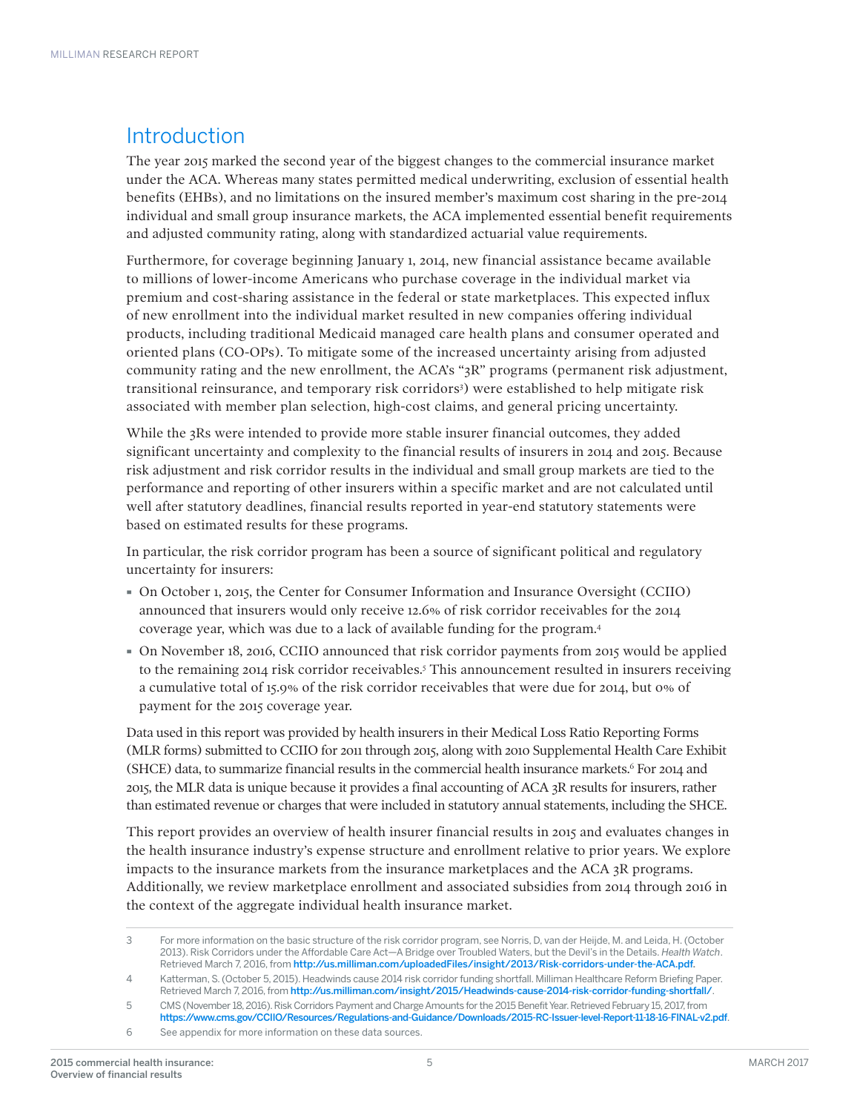### Introduction

The year 2015 marked the second year of the biggest changes to the commercial insurance market under the ACA. Whereas many states permitted medical underwriting, exclusion of essential health benefits (EHBs), and no limitations on the insured member's maximum cost sharing in the pre-2014 individual and small group insurance markets, the ACA implemented essential benefit requirements and adjusted community rating, along with standardized actuarial value requirements.

Furthermore, for coverage beginning January 1, 2014, new financial assistance became available to millions of lower-income Americans who purchase coverage in the individual market via premium and cost-sharing assistance in the federal or state marketplaces. This expected influx of new enrollment into the individual market resulted in new companies offering individual products, including traditional Medicaid managed care health plans and consumer operated and oriented plans (CO-OPs). To mitigate some of the increased uncertainty arising from adjusted community rating and the new enrollment, the ACA's "3R" programs (permanent risk adjustment, transitional reinsurance, and temporary risk corridors<sup>3</sup>) were established to help mitigate risk associated with member plan selection, high-cost claims, and general pricing uncertainty.

While the 3Rs were intended to provide more stable insurer financial outcomes, they added significant uncertainty and complexity to the financial results of insurers in 2014 and 2015. Because risk adjustment and risk corridor results in the individual and small group markets are tied to the performance and reporting of other insurers within a specific market and are not calculated until well after statutory deadlines, financial results reported in year-end statutory statements were based on estimated results for these programs.

In particular, the risk corridor program has been a source of significant political and regulatory uncertainty for insurers:

- · On October 1, 2015, the Center for Consumer Information and Insurance Oversight (CCIIO) announced that insurers would only receive 12.6% of risk corridor receivables for the 2014 coverage year, which was due to a lack of available funding for the program.4
- · On November 18, 2016, CCIIO announced that risk corridor payments from 2015 would be applied to the remaining 2014 risk corridor receivables.5 This announcement resulted in insurers receiving a cumulative total of 15.9% of the risk corridor receivables that were due for 2014, but 0% of payment for the 2015 coverage year.

Data used in this report was provided by health insurers in their Medical Loss Ratio Reporting Forms (MLR forms) submitted to CCIIO for 2011 through 2015, along with 2010 Supplemental Health Care Exhibit (SHCE) data, to summarize financial results in the commercial health insurance markets.<sup>6</sup> For 2014 and 2015, the MLR data is unique because it provides a final accounting of ACA 3R results for insurers, rather than estimated revenue or charges that were included in statutory annual statements, including the SHCE.

This report provides an overview of health insurer financial results in 2015 and evaluates changes in the health insurance industry's expense structure and enrollment relative to prior years. We explore impacts to the insurance markets from the insurance marketplaces and the ACA 3R programs. Additionally, we review marketplace enrollment and associated subsidies from 2014 through 2016 in the context of the aggregate individual health insurance market.

<sup>3</sup> For more information on the basic structure of the risk corridor program, see Norris, D, van der Heijde, M. and Leida, H. (October 2013). Risk Corridors under the Affordable Care Act—A Bridge over Troubled Waters, but the Devil's in the Details. *Health Watch*. Retrieved March 7, 2016, from [http://us.milliman.com/uploadedFiles/insight/2013/Risk-corridors-under-the-ACA.pdf.](http://us.milliman.com/uploadedFiles/insight/2013/Risk-corridors-under-the-ACA.pdf)

<sup>4</sup> Katterman, S. (October 5, 2015). Headwinds cause 2014 risk corridor funding shortfall. Milliman Healthcare Reform Briefing Paper. Retrieved March 7, 2016, from <http://us.milliman.com/insight/2015/Headwinds-cause-2014-risk-corridor-funding-shortfall/>.

<sup>5</sup> CMS (November 18, 2016). Risk Corridors Payment and Charge Amounts for the 2015 Benefit Year. Retrieved February 15, 2017, from <https://www.cms.gov/CCIIO/Resources/Regulations-and-Guidance/Downloads/2015-RC-Issuer-level-Report-11-18-16-FINAL-v2.pdf>.

<sup>6</sup> See appendix for more information on these data sources.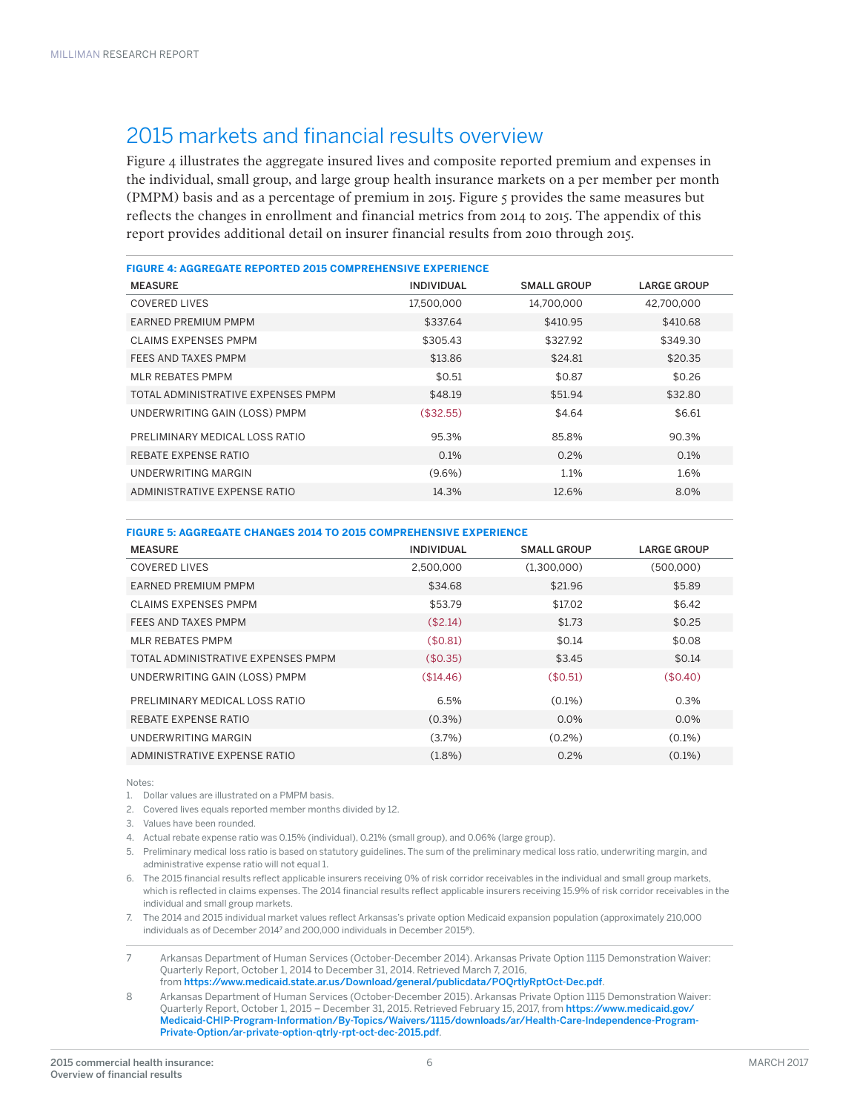### 2015 markets and financial results overview

Figure 4 illustrates the aggregate insured lives and composite reported premium and expenses in the individual, small group, and large group health insurance markets on a per member per month (PMPM) basis and as a percentage of premium in 2015. Figure 5 provides the same measures but reflects the changes in enrollment and financial metrics from 2014 to 2015. The appendix of this report provides additional detail on insurer financial results from 2010 through 2015.

| <b>FIGURE 4: AGGREGATE REPORTED 2015 COMPREHENSIVE EXPERIENCE</b> |                   |                    |                    |  |  |  |  |  |  |  |
|-------------------------------------------------------------------|-------------------|--------------------|--------------------|--|--|--|--|--|--|--|
| <b>MEASURE</b>                                                    | <b>INDIVIDUAL</b> | <b>SMALL GROUP</b> | <b>LARGE GROUP</b> |  |  |  |  |  |  |  |
| <b>COVERED LIVES</b>                                              | 17.500.000        | 14.700.000         | 42.700.000         |  |  |  |  |  |  |  |
| EARNED PREMIUM PMPM                                               | \$337.64          | \$410.95           | \$410.68           |  |  |  |  |  |  |  |
| <b>CLAIMS EXPENSES PMPM</b>                                       | \$305.43          | \$327.92           | \$349.30           |  |  |  |  |  |  |  |
| FEES AND TAXES PMPM                                               | \$13.86           | \$24.81            | \$20.35            |  |  |  |  |  |  |  |
| <b>MLR REBATES PMPM</b>                                           | \$0.51            | \$0.87             | \$0.26             |  |  |  |  |  |  |  |
| TOTAL ADMINISTRATIVE EXPENSES PMPM                                | \$48.19           | \$51.94            | \$32.80            |  |  |  |  |  |  |  |
| UNDERWRITING GAIN (LOSS) PMPM                                     | (\$32.55)         | \$4.64             | \$6.61             |  |  |  |  |  |  |  |
| PRELIMINARY MEDICAL LOSS RATIO                                    | 95.3%             | 85.8%              | 90.3%              |  |  |  |  |  |  |  |
| REBATE EXPENSE RATIO                                              | $0.1\%$           | $0.2\%$            | $0.1\%$            |  |  |  |  |  |  |  |
| <b>UNDERWRITING MARGIN</b>                                        | $(9.6\%)$         | 1.1%               | 1.6%               |  |  |  |  |  |  |  |
| ADMINISTRATIVE EXPENSE RATIO                                      | 14.3%             | 12.6%              | 8.0%               |  |  |  |  |  |  |  |

#### **FIGURE 5: AGGREGATE CHANGES 2014 TO 2015 COMPREHENSIVE EXPERIENCE**

| <b>MEASURE</b>                     | <b>INDIVIDUAL</b> | <b>SMALL GROUP</b> | <b>LARGE GROUP</b> |
|------------------------------------|-------------------|--------------------|--------------------|
| <b>COVERED LIVES</b>               | 2.500.000         | (1.300.000)        | (500,000)          |
| <b>EARNED PREMIUM PMPM</b>         | \$34.68           | \$21.96            | \$5.89             |
| CLAIMS EXPENSES PMPM               | \$53.79           | \$17.02            | \$6.42             |
| FEES AND TAXES PMPM                | (\$2.14)          | \$1.73             | \$0.25             |
| MLR REBATES PMPM                   | (\$0.81)          | \$0.14             | \$0.08             |
| TOTAL ADMINISTRATIVE EXPENSES PMPM | (\$0.35)          | \$3.45             | \$0.14             |
| UNDERWRITING GAIN (LOSS) PMPM      | (\$14.46)         | (\$0.51)           | (\$0.40)           |
| PRELIMINARY MEDICAL LOSS RATIO     | 6.5%              | $(0.1\%)$          | 0.3%               |
| REBATE EXPENSE RATIO               | $(0.3\%)$         | $0.0\%$            | $0.0\%$            |
| UNDERWRITING MARGIN                | $(3.7\%)$         | $(0.2\%)$          | $(0.1\%)$          |
| ADMINISTRATIVE EXPENSE RATIO       | $(1.8\%)$         | 0.2%               | $(0.1\%)$          |

Notes:

1. Dollar values are illustrated on a PMPM basis.

2. Covered lives equals reported member months divided by 12.

3. Values have been rounded.

4. Actual rebate expense ratio was 0.15% (individual), 0.21% (small group), and 0.06% (large group).

5. Preliminary medical loss ratio is based on statutory guidelines. The sum of the preliminary medical loss ratio, underwriting margin, and administrative expense ratio will not equal 1.

6. The 2015 financial results reflect applicable insurers receiving 0% of risk corridor receivables in the individual and small group markets, which is reflected in claims expenses. The 2014 financial results reflect applicable insurers receiving 15.9% of risk corridor receivables in the individual and small group markets.

7. The 2014 and 2015 individual market values reflect Arkansas's private option Medicaid expansion population (approximately 210,000 individuals as of December 2014<sup>7</sup> and 200,000 individuals in December 2015<sup>8</sup>).

7 Arkansas Department of Human Services (October-December 2014). Arkansas Private Option 1115 Demonstration Waiver: Quarterly Report, October 1, 2014 to December 31, 2014. Retrieved March 7, 2016, from <https://www.medicaid.state.ar.us/Download/general/publicdata/POQrtlyRptOct-Dec.pdf>.

8 Arkansas Department of Human Services (October-December 2015). Arkansas Private Option 1115 Demonstration Waiver: Quarterly Report, October 1, 2015 – December 31, 2015. Retrieved February 15, 2017, from [https://www.medicaid.gov/](https://www.medicaid.gov/Medicaid-CHIP-Program-Information/By-Topics/Waivers/1115/downloads/ar/Health-Care-Independence-Program-Private-Option/ar-private-option-qtrly-rpt-oct-dec-2015.pdf) [Medicaid-CHIP-Program-Information/By-Topics/Waivers/1115/downloads/ar/Health-Care-Independence-Program-](https://www.medicaid.gov/Medicaid-CHIP-Program-Information/By-Topics/Waivers/1115/downloads/ar/Health-Care-Independence-Program-Private-Option/ar-private-option-qtrly-rpt-oct-dec-2015.pdf)[Private-Option/ar-private-option-qtrly-rpt-oct-dec-2015.pdf](https://www.medicaid.gov/Medicaid-CHIP-Program-Information/By-Topics/Waivers/1115/downloads/ar/Health-Care-Independence-Program-Private-Option/ar-private-option-qtrly-rpt-oct-dec-2015.pdf).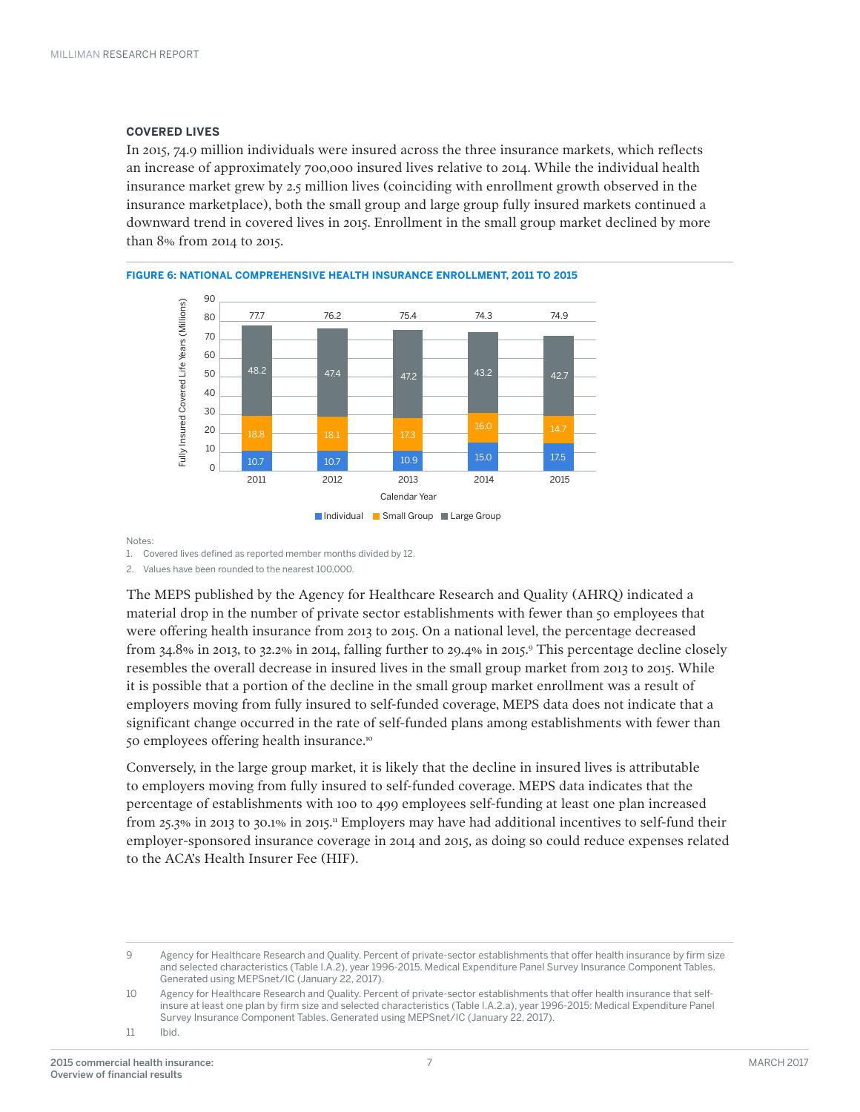#### **COVERED LIVES**

In 2015, 74.9 million individuals were insured across the three insurance markets, which reflects an increase of approximately 700,000 insured lives relative to 2014. While the individual health insurance market grew by 2.5 million lives (coinciding with enrollment growth observed in the insurance marketplace), both the small group and large group fully insured markets continued a downward trend in covered lives in 2015. Enrollment in the small group market declined by more than 8% from 2014 to 2015.



**FIGURE 6: NATIONAL COMPREHENSIVE HEALTH INSURANCE ENROLLMENT, 2011 TO 2015**

Notes:

1. Covered lives defined as reported member months divided by 12.

2. Values have been rounded to the nearest 100,000.

The MEPS published by the Agency for Healthcare Research and Quality (AHRQ) indicated a material drop in the number of private sector establishments with fewer than 50 employees that were offering health insurance from 2013 to 2015. On a national level, the percentage decreased from 34.8% in 2013, to 32.2% in 2014, falling further to 29.4% in 2015.9 This percentage decline closely resembles the overall decrease in insured lives in the small group market from 2013 to 2015. While it is possible that a portion of the decline in the small group market enrollment was a result of employers moving from fully insured to self-funded coverage, MEPS data does not indicate that a significant change occurred in the rate of self-funded plans among establishments with fewer than 50 employees offering health insurance.10

Conversely, in the large group market, it is likely that the decline in insured lives is attributable to employers moving from fully insured to self-funded coverage. MEPS data indicates that the percentage of establishments with 100 to 499 employees self-funding at least one plan increased from 25.3% in 2013 to 30.1% in 2015.11 Employers may have had additional incentives to self-fund their employer-sponsored insurance coverage in 2014 and 2015, as doing so could reduce expenses related to the ACA's Health Insurer Fee (HIF).

<sup>9</sup> Agency for Healthcare Research and Quality. Percent of private-sector establishments that offer health insurance by firm size and selected characteristics (Table I.A.2), year 1996-2015. Medical Expenditure Panel Survey Insurance Component Tables. Generated using MEPSnet/IC (January 22, 2017).

<sup>10</sup> Agency for Healthcare Research and Quality. Percent of private-sector establishments that offer health insurance that selfinsure at least one plan by firm size and selected characteristics (Table I.A.2.a), year 1996-2015: Medical Expenditure Panel Survey Insurance Component Tables. Generated using MEPSnet/IC (January 22, 2017).

<sup>11</sup> Ibid.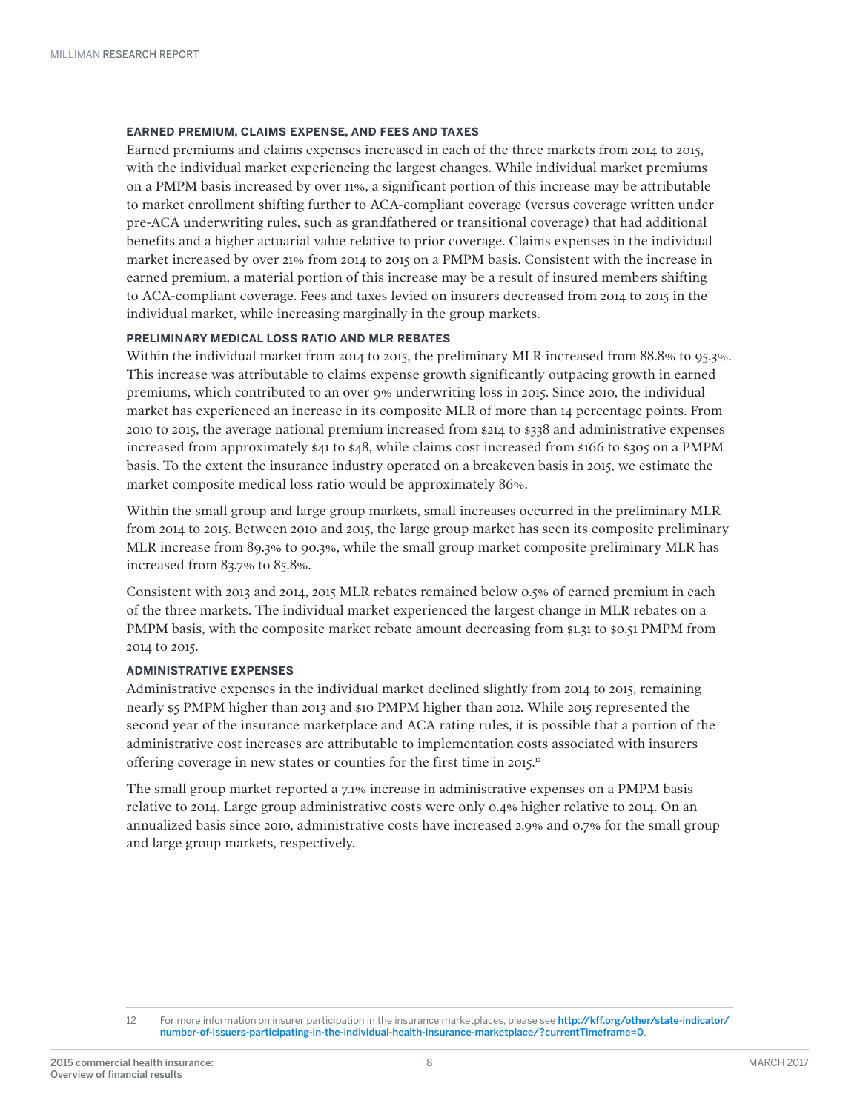#### **EARNED PREMIUM, CLAIMS EXPENSE, AND FEES AND TAXES**

Earned premiums and claims expenses increased in each of the three markets from 2014 to 2015, with the individual market experiencing the largest changes. While individual market premiums on a PMPM basis increased by over 11%, a significant portion of this increase may be attributable to market enrollment shifting further to ACA-compliant coverage (versus coverage written under pre-ACA underwriting rules, such as grandfathered or transitional coverage) that had additional benefits and a higher actuarial value relative to prior coverage. Claims expenses in the individual market increased by over 21% from 2014 to 2015 on a PMPM basis. Consistent with the increase in earned premium, a material portion of this increase may be a result of insured members shifting to ACA-compliant coverage. Fees and taxes levied on insurers decreased from 2014 to 2015 in the individual market, while increasing marginally in the group markets.

#### **PRELIMINARY MEDICAL LOSS RATIO AND MLR REBATES**

Within the individual market from 2014 to 2015, the preliminary MLR increased from 88.8% to 95.3%. This increase was attributable to claims expense growth significantly outpacing growth in earned premiums, which contributed to an over 9% underwriting loss in 2015. Since 2010, the individual market has experienced an increase in its composite MLR of more than 14 percentage points. From 2010 to 2015, the average national premium increased from \$214 to \$338 and administrative expenses increased from approximately \$41 to \$48, while claims cost increased from \$166 to \$305 on a PMPM basis. To the extent the insurance industry operated on a breakeven basis in 2015, we estimate the market composite medical loss ratio would be approximately 86%.

Within the small group and large group markets, small increases occurred in the preliminary MLR from 2014 to 2015. Between 2010 and 2015, the large group market has seen its composite preliminary MLR increase from 89.3% to 90.3%, while the small group market composite preliminary MLR has increased from 83.7% to 85.8%.

Consistent with 2013 and 2014, 2015 MLR rebates remained below 0.5% of earned premium in each of the three markets. The individual market experienced the largest change in MLR rebates on a PMPM basis, with the composite market rebate amount decreasing from \$1.31 to \$0.51 PMPM from 2014 to 2015.

#### **ADMINISTRATIVE EXPENSES**

Administrative expenses in the individual market declined slightly from 2014 to 2015, remaining nearly \$5 PMPM higher than 2013 and \$10 PMPM higher than 2012. While 2015 represented the second year of the insurance marketplace and ACA rating rules, it is possible that a portion of the administrative cost increases are attributable to implementation costs associated with insurers offering coverage in new states or counties for the first time in 2015.<sup>12</sup>

The small group market reported a 7.1% increase in administrative expenses on a PMPM basis relative to 2014. Large group administrative costs were only 0.4% higher relative to 2014. On an annualized basis since 2010, administrative costs have increased 2.9% and 0.7% for the small group and large group markets, respectively.

<sup>12</sup> For more information on insurer participation in the insurance marketplaces, please see [http://kff.org/other/state-indicator/](http://kff.org/other/state-indicator/number-of-issuers-participating-in-the-individual-health-insurance-marketplace/?currentTimeframe=0&sortModel=%7B%22colId%22:%22Location%22,%22sort%22:%22asc%22%7D) [number-of-issuers-participating-in-the-individual-health-insurance-marketplace/?currentTimeframe=0](http://kff.org/other/state-indicator/number-of-issuers-participating-in-the-individual-health-insurance-marketplace/?currentTimeframe=0&sortModel=%7B%22colId%22:%22Location%22,%22sort%22:%22asc%22%7D).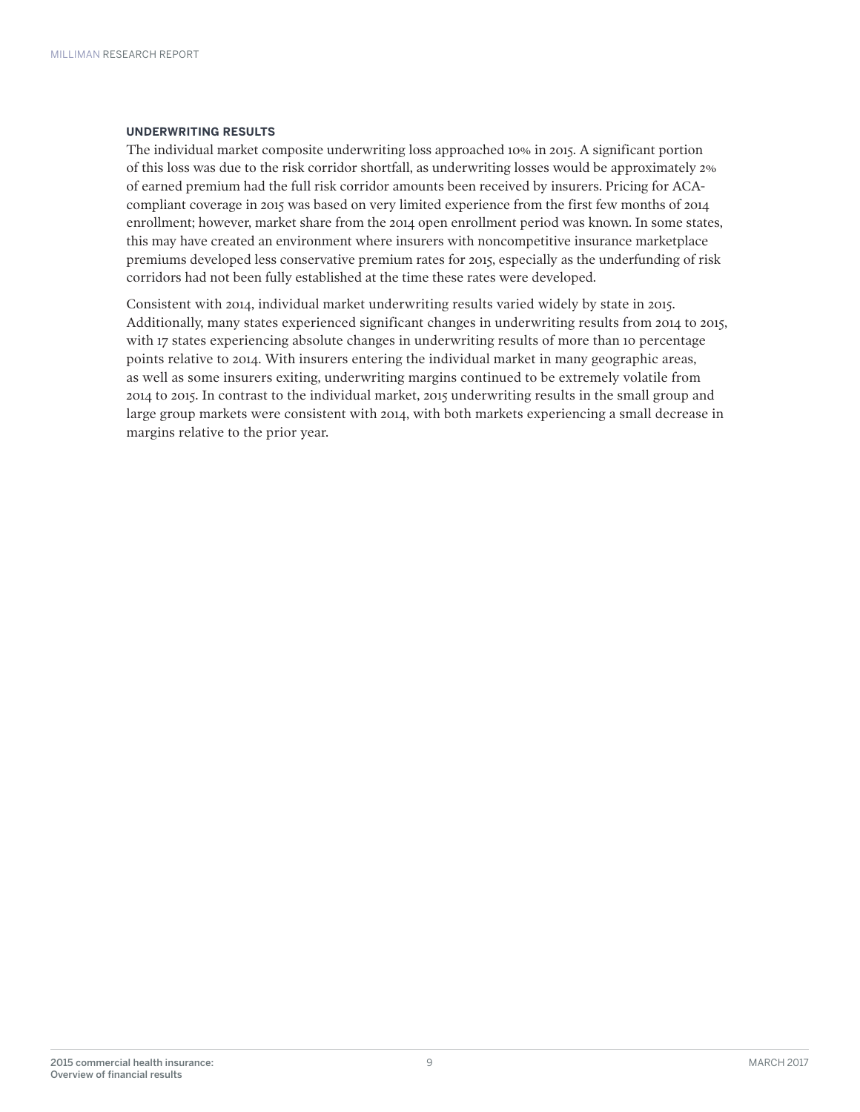#### **UNDERWRITING RESULTS**

The individual market composite underwriting loss approached 10% in 2015. A significant portion of this loss was due to the risk corridor shortfall, as underwriting losses would be approximately 2% of earned premium had the full risk corridor amounts been received by insurers. Pricing for ACAcompliant coverage in 2015 was based on very limited experience from the first few months of 2014 enrollment; however, market share from the 2014 open enrollment period was known. In some states, this may have created an environment where insurers with noncompetitive insurance marketplace premiums developed less conservative premium rates for 2015, especially as the underfunding of risk corridors had not been fully established at the time these rates were developed.

Consistent with 2014, individual market underwriting results varied widely by state in 2015. Additionally, many states experienced significant changes in underwriting results from 2014 to 2015, with 17 states experiencing absolute changes in underwriting results of more than 10 percentage points relative to 2014. With insurers entering the individual market in many geographic areas, as well as some insurers exiting, underwriting margins continued to be extremely volatile from 2014 to 2015. In contrast to the individual market, 2015 underwriting results in the small group and large group markets were consistent with 2014, with both markets experiencing a small decrease in margins relative to the prior year.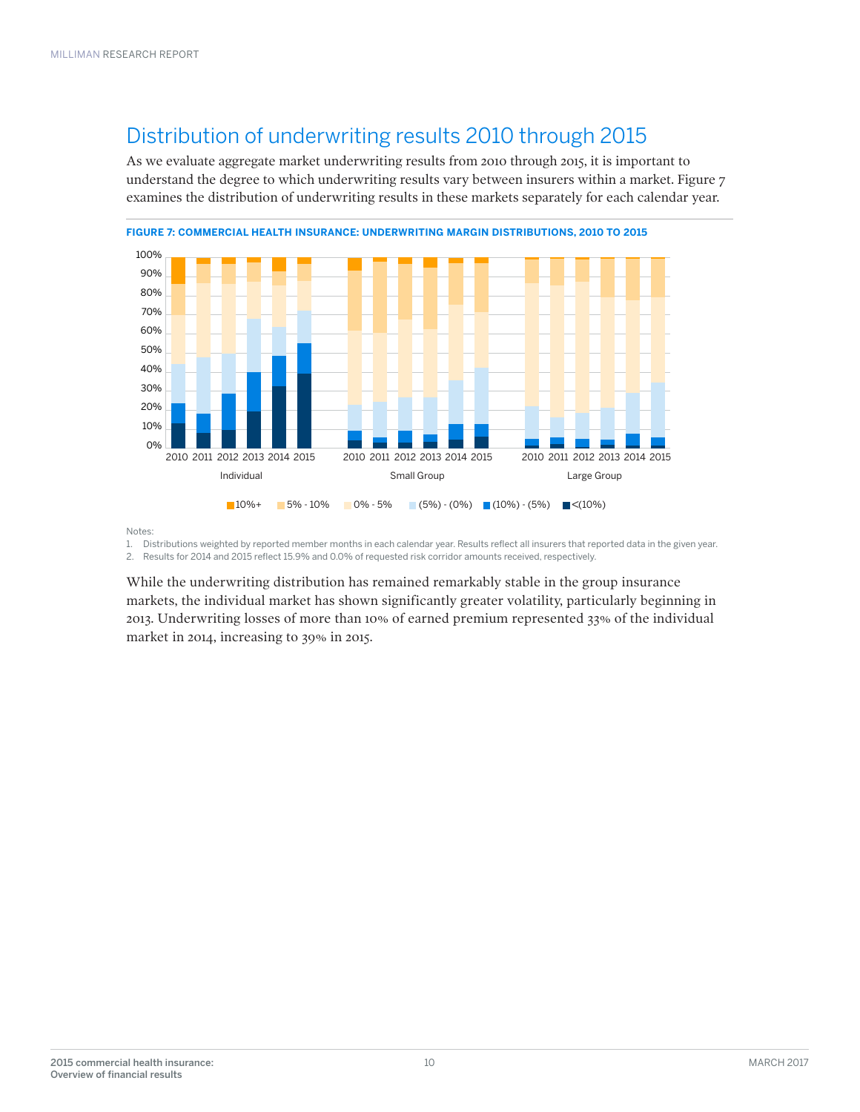### Distribution of underwriting results 2010 through 2015

As we evaluate aggregate market underwriting results from 2010 through 2015, it is important to understand the degree to which underwriting results vary between insurers within a market. Figure 7 examines the distribution of underwriting results in these markets separately for each calendar year.



Notes:

1. Distributions weighted by reported member months in each calendar year. Results reflect all insurers that reported data in the given year. 2. Results for 2014 and 2015 reflect 15.9% and 0.0% of requested risk corridor amounts received, respectively.

While the underwriting distribution has remained remarkably stable in the group insurance markets, the individual market has shown significantly greater volatility, particularly beginning in 2013. Underwriting losses of more than 10% of earned premium represented 33% of the individual market in 2014, increasing to 39% in 2015.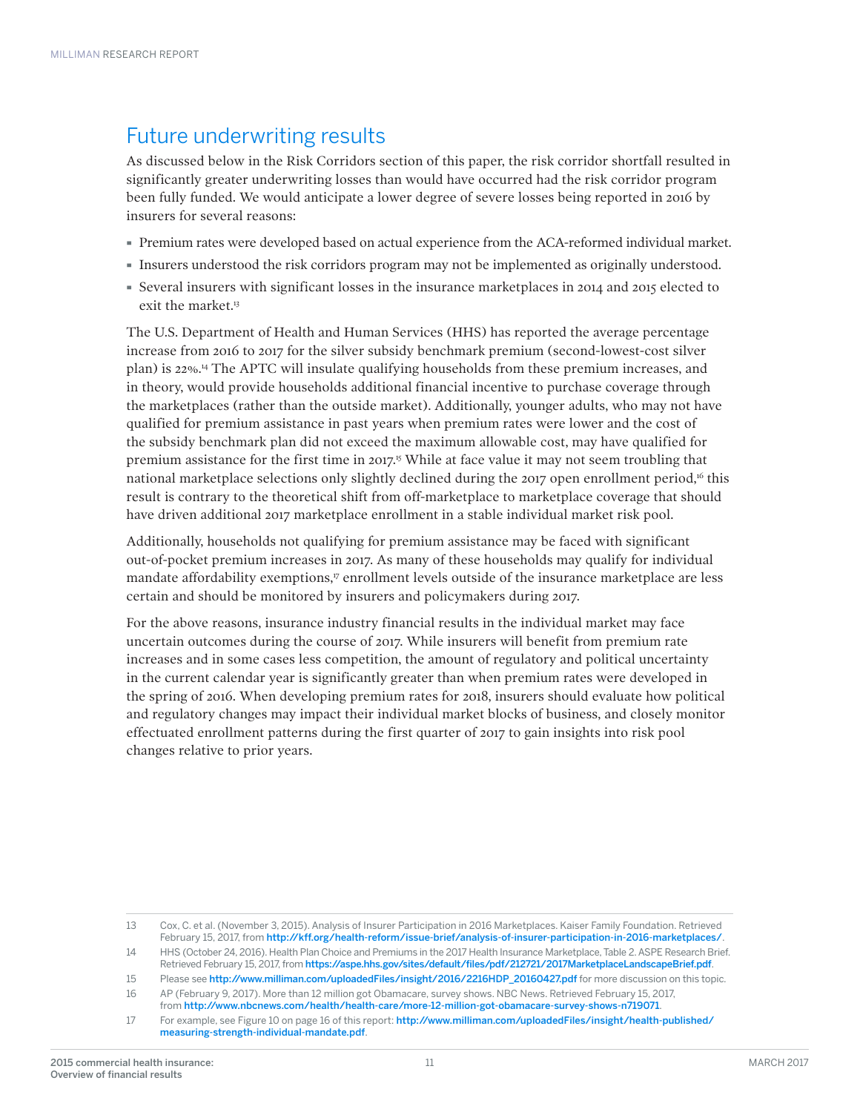### Future underwriting results

As discussed below in the Risk Corridors section of this paper, the risk corridor shortfall resulted in significantly greater underwriting losses than would have occurred had the risk corridor program been fully funded. We would anticipate a lower degree of severe losses being reported in 2016 by insurers for several reasons:

- · Premium rates were developed based on actual experience from the ACA-reformed individual market.
- · Insurers understood the risk corridors program may not be implemented as originally understood.
- · Several insurers with significant losses in the insurance marketplaces in 2014 and 2015 elected to exit the market.<sup>13</sup>

The U.S. Department of Health and Human Services (HHS) has reported the average percentage increase from 2016 to 2017 for the silver subsidy benchmark premium (second-lowest-cost silver plan) is 22%.14 The APTC will insulate qualifying households from these premium increases, and in theory, would provide households additional financial incentive to purchase coverage through the marketplaces (rather than the outside market). Additionally, younger adults, who may not have qualified for premium assistance in past years when premium rates were lower and the cost of the subsidy benchmark plan did not exceed the maximum allowable cost, may have qualified for premium assistance for the first time in 2017.15 While at face value it may not seem troubling that national marketplace selections only slightly declined during the 2017 open enrollment period,<sup>16</sup> this result is contrary to the theoretical shift from off-marketplace to marketplace coverage that should have driven additional 2017 marketplace enrollment in a stable individual market risk pool.

Additionally, households not qualifying for premium assistance may be faced with significant out-of-pocket premium increases in 2017. As many of these households may qualify for individual mandate affordability exemptions,<sup>17</sup> enrollment levels outside of the insurance marketplace are less certain and should be monitored by insurers and policymakers during 2017.

For the above reasons, insurance industry financial results in the individual market may face uncertain outcomes during the course of 2017. While insurers will benefit from premium rate increases and in some cases less competition, the amount of regulatory and political uncertainty in the current calendar year is significantly greater than when premium rates were developed in the spring of 2016. When developing premium rates for 2018, insurers should evaluate how political and regulatory changes may impact their individual market blocks of business, and closely monitor effectuated enrollment patterns during the first quarter of 2017 to gain insights into risk pool changes relative to prior years.

<sup>13</sup> Cox, C. et al. (November 3, 2015). Analysis of Insurer Participation in 2016 Marketplaces. Kaiser Family Foundation. Retrieved February 15, 2017, from <http://kff.org/health-reform/issue-brief/analysis-of-insurer-participation-in-2016-marketplaces/>.

<sup>14</sup> HHS (October 24, 2016). Health Plan Choice and Premiums in the 2017 Health Insurance Marketplace, Table 2. ASPE Research Brief. Retrieved February 15, 2017, from [https://aspe.hhs.gov/sites/default/files/pdf/212721/2017MarketplaceLandscapeBrief.pdf](https://aspe.hhs.gov/system/files/pdf/212721/2017MarketplaceLandscapeBrief.pdf).

<sup>15</sup> Please see [http://www.milliman.com/uploadedFiles/insight/2016/2216HDP\\_20160427.pdf](http://www.milliman.com/uploadedFiles/insight/2016/2216HDP_20160427.pdf) for more discussion on this topic.

<sup>16</sup> AP (February 9, 2017). More than 12 million got Obamacare, survey shows. NBC News. Retrieved February 15, 2017, from <http://www.nbcnews.com/health/health-care/more-12-million-got-obamacare-survey-shows-n719071>.

<sup>17</sup> For example, see Figure 10 on page 16 of this report: [http://www.milliman.com/uploadedFiles/insight/health-published/](http://www.milliman.com/uploadedFiles/insight/health-published/measuring-strength-individual-mandate.pdf) [measuring-strength-individual-mandate.pdf](http://www.milliman.com/uploadedFiles/insight/health-published/measuring-strength-individual-mandate.pdf).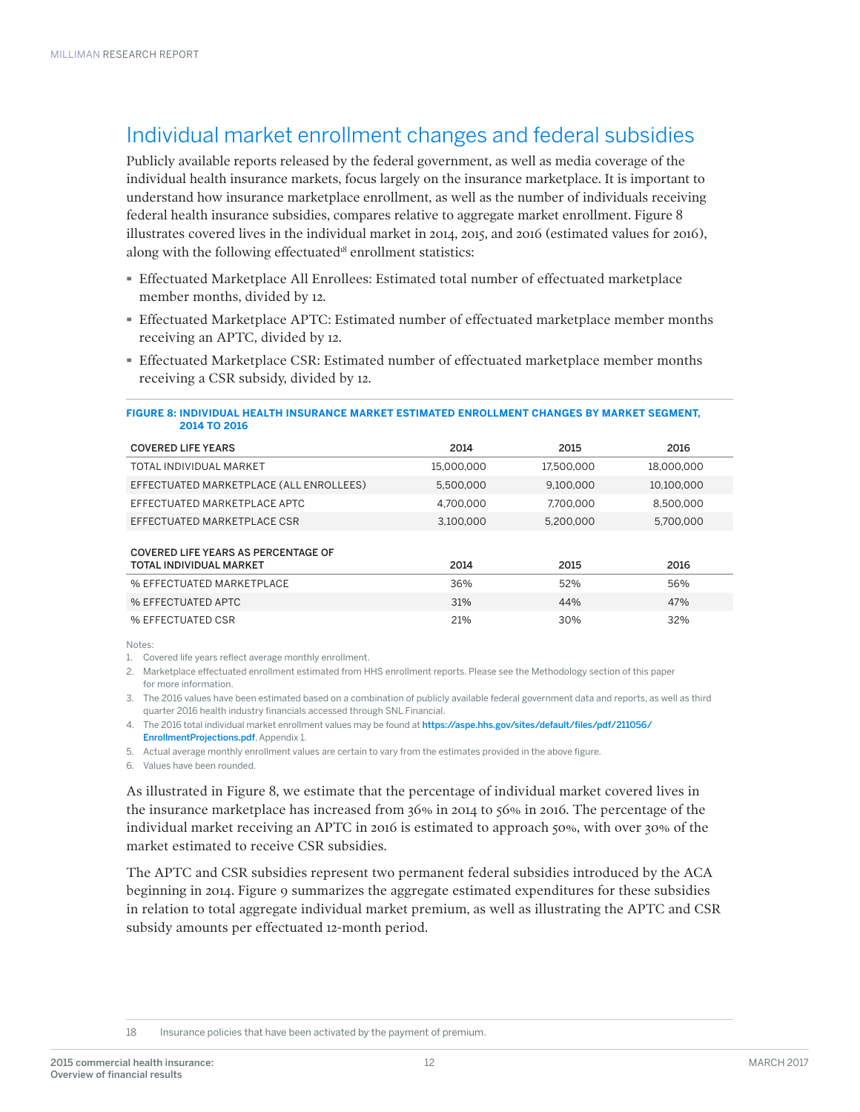### Individual market enrollment changes and federal subsidies

Publicly available reports released by the federal government, as well as media coverage of the individual health insurance markets, focus largely on the insurance marketplace. It is important to understand how insurance marketplace enrollment, as well as the number of individuals receiving federal health insurance subsidies, compares relative to aggregate market enrollment. Figure 8 illustrates covered lives in the individual market in 2014, 2015, and 2016 (estimated values for 2016), along with the following effectuated<sup>18</sup> enrollment statistics:

- · Effectuated Marketplace All Enrollees: Estimated total number of effectuated marketplace member months, divided by 12.
- · Effectuated Marketplace APTC: Estimated number of effectuated marketplace member months receiving an APTC, divided by 12.
- · Effectuated Marketplace CSR: Estimated number of effectuated marketplace member months receiving a CSR subsidy, divided by 12.

#### **FIGURE 8: INDIVIDUAL HEALTH INSURANCE MARKET ESTIMATED ENROLLMENT CHANGES BY MARKET SEGMENT, 2014 TO 2016**

| <b>COVERED LIFE YEARS</b>                                             | 2014       | 2015       | 2016       |
|-----------------------------------------------------------------------|------------|------------|------------|
| TOTAL INDIVIDUAL MARKET                                               | 15.000.000 | 17.500.000 | 18.000.000 |
| EFFECTUATED MARKETPLACE (ALL ENROLLEES)                               | 5.500.000  | 9.100.000  | 10.100.000 |
| EFFECTUATED MARKETPLACE APTC                                          | 4.700.000  | 7.700.000  | 8.500.000  |
| EFFECTUATED MARKETPLACE CSR                                           | 3.100.000  | 5.200.000  | 5.700.000  |
| <b>COVERED LIFE YEARS AS PERCENTAGE OF</b><br>TOTAL INDIVIDUAL MARKET | 2014       | 2015       | 2016       |
| % EFFECTUATED MARKETPLACE                                             | 36%        | 52%        | 56%        |
| % EFFECTUATED APTC                                                    | 31%        | 44%        | 47%        |
| % EFFECTUATED CSR                                                     | 21%        | 30%        | 32%        |

Notes:

1. Covered life years reflect average monthly enrollment.

2. Marketplace effectuated enrollment estimated from HHS enrollment reports. Please see the Methodology section of this paper for more information.

3. The 2016 values have been estimated based on a combination of publicly available federal government data and reports, as well as third quarter 2016 health industry financials accessed through SNL Financial.

4. The 2016 total individual market enrollment values may be found at [https://aspe.hhs.gov/sites/default/files/pdf/211056/](https://aspe.hhs.gov/system/files/pdf/211056/EnrollmentProjections.pdf) [EnrollmentProjections.pdf](https://aspe.hhs.gov/system/files/pdf/211056/EnrollmentProjections.pdf), Appendix 1.

5. Actual average monthly enrollment values are certain to vary from the estimates provided in the above figure.

6. Values have been rounded.

As illustrated in Figure 8, we estimate that the percentage of individual market covered lives in the insurance marketplace has increased from 36% in 2014 to 56% in 2016. The percentage of the individual market receiving an APTC in 2016 is estimated to approach 50%, with over 30% of the market estimated to receive CSR subsidies.

The APTC and CSR subsidies represent two permanent federal subsidies introduced by the ACA beginning in 2014. Figure 9 summarizes the aggregate estimated expenditures for these subsidies in relation to total aggregate individual market premium, as well as illustrating the APTC and CSR subsidy amounts per effectuated 12-month period.

18 Insurance policies that have been activated by the payment of premium.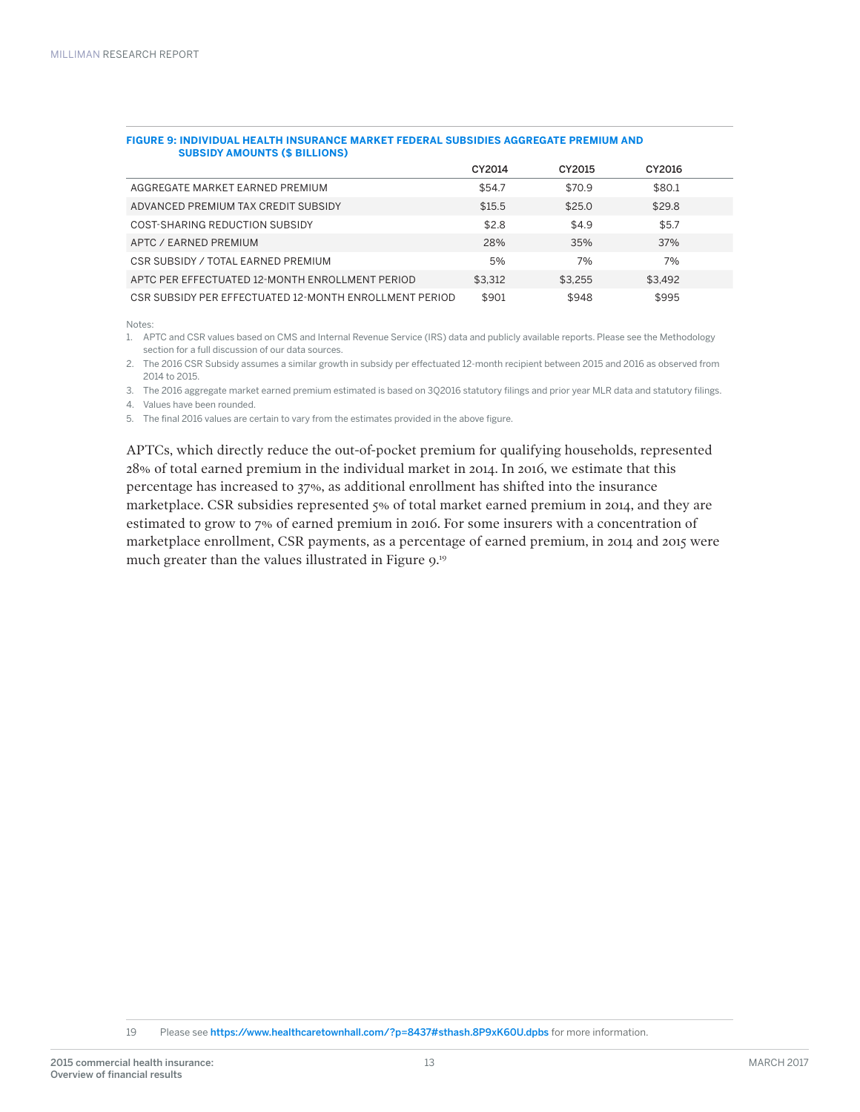| SUBSIDT AMOUNTS (\$ BILLIONS)                          |         |         |         |  |
|--------------------------------------------------------|---------|---------|---------|--|
|                                                        | CY2014  | CY2015  | CY2016  |  |
| AGGREGATE MARKET EARNED PREMIUM                        | \$54.7  | \$70.9  | \$80.1  |  |
| ADVANCED PREMIUM TAX CREDIT SUBSIDY                    | \$15.5  | \$25.0  | \$29.8  |  |
| COST-SHARING REDUCTION SUBSIDY                         | \$2.8   | \$4.9   | \$5.7   |  |
| APTC / EARNED PREMIUM                                  | 28%     | 35%     | 37%     |  |
| CSR SUBSIDY / TOTAL EARNED PREMIUM                     | 5%      | 7%      | 7%      |  |
| APTC PER EFFECTUATED 12-MONTH ENROLLMENT PERIOD        | \$3.312 | \$3.255 | \$3.492 |  |
| CSR SUBSIDY PER EFFECTUATED 12-MONTH ENROLLMENT PERIOD | \$901   | \$948   | \$995   |  |

#### **FIGURE 9: INDIVIDUAL HEALTH INSURANCE MARKET FEDERAL SUBSIDIES AGGREGATE PREMIUM AND SUBSIDY AMOUNTS (\$ BILLIONS)**

Notes:

1. APTC and CSR values based on CMS and Internal Revenue Service (IRS) data and publicly available reports. Please see the Methodology section for a full discussion of our data sources.

2. The 2016 CSR Subsidy assumes a similar growth in subsidy per effectuated 12-month recipient between 2015 and 2016 as observed from 2014 to 2015.

3. The 2016 aggregate market earned premium estimated is based on 3Q2016 statutory filings and prior year MLR data and statutory filings.

4. Values have been rounded.

5. The final 2016 values are certain to vary from the estimates provided in the above figure.

APTCs, which directly reduce the out-of-pocket premium for qualifying households, represented 28% of total earned premium in the individual market in 2014. In 2016, we estimate that this percentage has increased to 37%, as additional enrollment has shifted into the insurance marketplace. CSR subsidies represented 5% of total market earned premium in 2014, and they are estimated to grow to 7% of earned premium in 2016. For some insurers with a concentration of marketplace enrollment, CSR payments, as a percentage of earned premium, in 2014 and 2015 were much greater than the values illustrated in Figure 9.<sup>19</sup>

19 Please see [https://www.healthcaretownhall.com/?p=8437#sthash.8P9xK60U.dpbs](https://www.healthcaretownhall.com/?p=8437#sthash.8P9xK60U.dpbs%20for%20more%20information) for more information.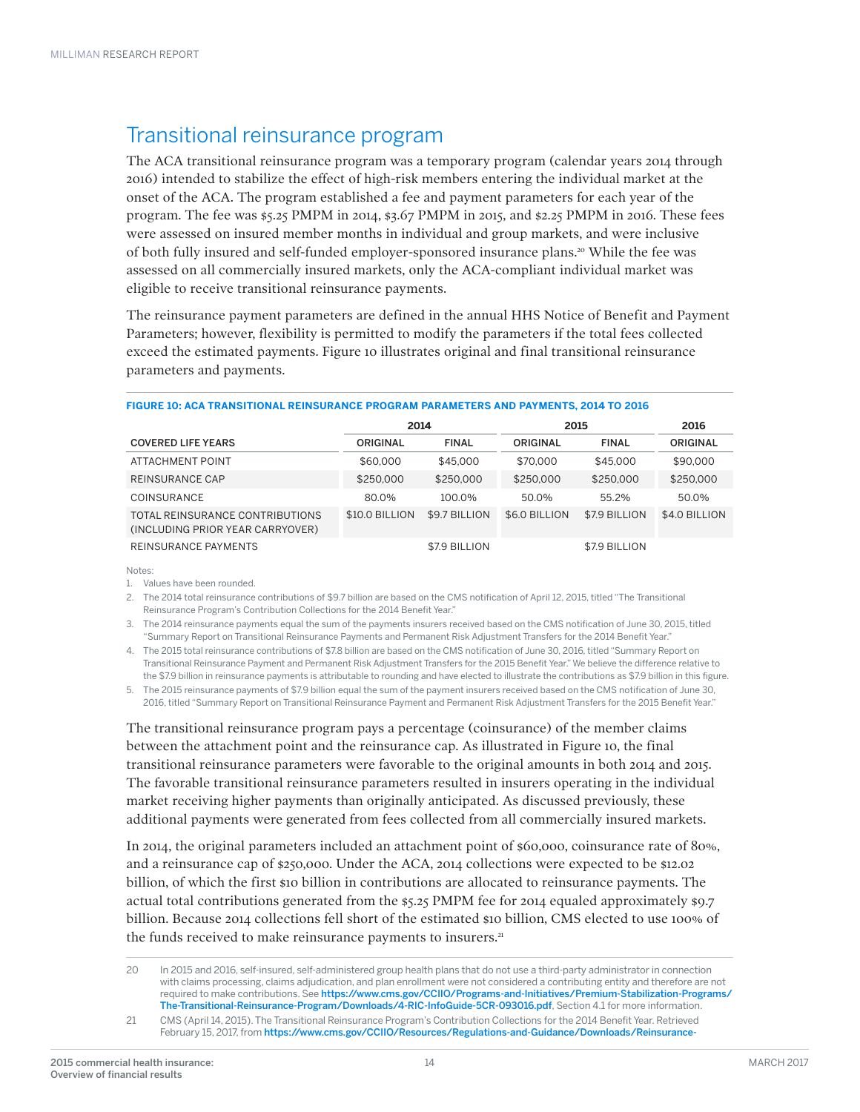### Transitional reinsurance program

The ACA transitional reinsurance program was a temporary program (calendar years 2014 through 2016) intended to stabilize the effect of high-risk members entering the individual market at the onset of the ACA. The program established a fee and payment parameters for each year of the program. The fee was \$5.25 PMPM in 2014, \$3.67 PMPM in 2015, and \$2.25 PMPM in 2016. These fees were assessed on insured member months in individual and group markets, and were inclusive of both fully insured and self-funded employer-sponsored insurance plans.20 While the fee was assessed on all commercially insured markets, only the ACA-compliant individual market was eligible to receive transitional reinsurance payments.

The reinsurance payment parameters are defined in the annual HHS Notice of Benefit and Payment Parameters; however, flexibility is permitted to modify the parameters if the total fees collected exceed the estimated payments. Figure 10 illustrates original and final transitional reinsurance parameters and payments.

|                                                                     | 2014           |               | 2015          | 2016          |               |
|---------------------------------------------------------------------|----------------|---------------|---------------|---------------|---------------|
| <b>COVERED LIFE YEARS</b>                                           | ORIGINAL       | <b>FINAL</b>  | ORIGINAL      | <b>FINAL</b>  | ORIGINAL      |
| ATTACHMENT POINT                                                    | \$60,000       | \$45,000      | \$70,000      | \$45,000      | \$90,000      |
| <b>REINSURANCE CAP</b>                                              | \$250,000      | \$250,000     | \$250,000     | \$250,000     | \$250,000     |
| COINSURANCE                                                         | 80.0%          | 100.0%        | 50.0%         | 55.2%         | 50.0%         |
| TOTAL REINSURANCE CONTRIBUTIONS<br>(INCLUDING PRIOR YEAR CARRYOVER) | \$10.0 BILLION | \$9.7 BILLION | \$6.0 BILLION | \$7.9 BILLION | \$4.0 BILLION |
| REINSURANCE PAYMENTS                                                |                | \$7.9 BILLION |               | \$7.9 BILLION |               |

#### **FIGURE 10: ACA TRANSITIONAL REINSURANCE PROGRAM PARAMETERS AND PAYMENTS, 2014 TO 2016**

Notes:

1. Values have been rounded.

2. The 2014 total reinsurance contributions of \$9.7 billion are based on the CMS notification of April 12, 2015, titled "The Transitional Reinsurance Program's Contribution Collections for the 2014 Benefit Year."

3. The 2014 reinsurance payments equal the sum of the payments insurers received based on the CMS notification of June 30, 2015, titled "Summary Report on Transitional Reinsurance Payments and Permanent Risk Adjustment Transfers for the 2014 Benefit Year."

4. The 2015 total reinsurance contributions of \$7.8 billion are based on the CMS notification of June 30, 2016, titled "Summary Report on Transitional Reinsurance Payment and Permanent Risk Adjustment Transfers for the 2015 Benefit Year." We believe the difference relative to the \$7.9 billion in reinsurance payments is attributable to rounding and have elected to illustrate the contributions as \$7.9 billion in this figure.

5. The 2015 reinsurance payments of \$7.9 billion equal the sum of the payment insurers received based on the CMS notification of June 30, 2016, titled "Summary Report on Transitional Reinsurance Payment and Permanent Risk Adjustment Transfers for the 2015 Benefit Year."

The transitional reinsurance program pays a percentage (coinsurance) of the member claims between the attachment point and the reinsurance cap. As illustrated in Figure 10, the final transitional reinsurance parameters were favorable to the original amounts in both 2014 and 2015. The favorable transitional reinsurance parameters resulted in insurers operating in the individual market receiving higher payments than originally anticipated. As discussed previously, these additional payments were generated from fees collected from all commercially insured markets.

In 2014, the original parameters included an attachment point of \$60,000, coinsurance rate of 80%, and a reinsurance cap of \$250,000. Under the ACA, 2014 collections were expected to be \$12.02 billion, of which the first \$10 billion in contributions are allocated to reinsurance payments. The actual total contributions generated from the \$5.25 PMPM fee for 2014 equaled approximately \$9.7 billion. Because 2014 collections fell short of the estimated \$10 billion, CMS elected to use 100% of the funds received to make reinsurance payments to insurers.<sup>21</sup>

<sup>20</sup> In 2015 and 2016, self-insured, self-administered group health plans that do not use a third-party administrator in connection with claims processing, claims adjudication, and plan enrollment were not considered a contributing entity and therefore are not required to make contributions. See [https://www.cms.gov/CCIIO/Programs-and-Initiatives/Premium-Stabilization-Programs/](https://www.cms.gov/CCIIO/Programs-and-Initiatives/Premium-Stabilization-Programs/The-Transitional-Reinsurance-Program/Downloads/4-RIC-InfoGuide-5CR-093016.pdf) [The-Transitional-Reinsurance-Program/Downloads/4-RIC-InfoGuide-5CR-093016.pdf](https://www.cms.gov/CCIIO/Programs-and-Initiatives/Premium-Stabilization-Programs/The-Transitional-Reinsurance-Program/Downloads/4-RIC-InfoGuide-5CR-093016.pdf), Section 4.1 for more information.

<sup>21</sup> CMS (April 14, 2015). The Transitional Reinsurance Program's Contribution Collections for the 2014 Benefit Year. Retrieved February 15, 2017, from [https://www.cms.gov/CCIIO/Resources/Regulations-and-Guidance/Downloads/Reinsurance-](https://www.cms.gov/CCIIO/Resources/Regulations-and-Guidance/Downloads/Reinsurance-Contributions-Total-Amount-Collected-final-.pdf)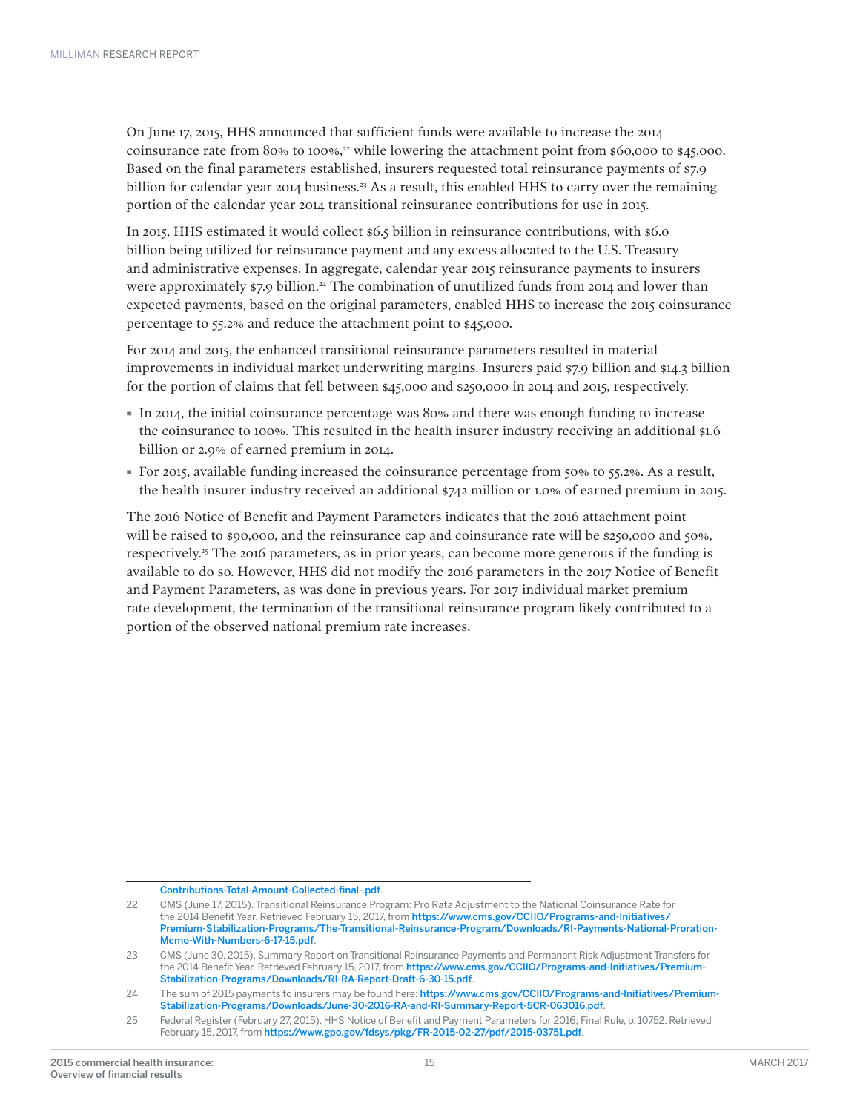On June 17, 2015, HHS announced that sufficient funds were available to increase the 2014 coinsurance rate from 80% to 100%,<sup>22</sup> while lowering the attachment point from  $$60,000$  to  $$45,000$ . Based on the final parameters established, insurers requested total reinsurance payments of \$7.9 billion for calendar year 2014 business.<sup>23</sup> As a result, this enabled HHS to carry over the remaining portion of the calendar year 2014 transitional reinsurance contributions for use in 2015.

In 2015, HHS estimated it would collect \$6.5 billion in reinsurance contributions, with \$6.0 billion being utilized for reinsurance payment and any excess allocated to the U.S. Treasury and administrative expenses. In aggregate, calendar year 2015 reinsurance payments to insurers were approximately \$7.9 billion.<sup>24</sup> The combination of unutilized funds from 2014 and lower than expected payments, based on the original parameters, enabled HHS to increase the 2015 coinsurance percentage to 55.2% and reduce the attachment point to \$45,000.

For 2014 and 2015, the enhanced transitional reinsurance parameters resulted in material improvements in individual market underwriting margins. Insurers paid \$7.9 billion and \$14.3 billion for the portion of claims that fell between \$45,000 and \$250,000 in 2014 and 2015, respectively.

- · In 2014, the initial coinsurance percentage was 80% and there was enough funding to increase the coinsurance to 100%. This resulted in the health insurer industry receiving an additional \$1.6 billion or 2.9% of earned premium in 2014.
- · For 2015, available funding increased the coinsurance percentage from 50% to 55.2%. As a result, the health insurer industry received an additional \$742 million or 1.0% of earned premium in 2015.

The 2016 Notice of Benefit and Payment Parameters indicates that the 2016 attachment point will be raised to \$90,000, and the reinsurance cap and coinsurance rate will be \$250,000 and 50%, respectively.25 The 2016 parameters, as in prior years, can become more generous if the funding is available to do so. However, HHS did not modify the 2016 parameters in the 2017 Notice of Benefit and Payment Parameters, as was done in previous years. For 2017 individual market premium rate development, the termination of the transitional reinsurance program likely contributed to a portion of the observed national premium rate increases.

[Contributions-Total-Amount-Collected-final-.pdf](https://www.cms.gov/CCIIO/Resources/Regulations-and-Guidance/Downloads/Reinsurance-Contributions-Total-Amount-Collected-final-.pdf).

<sup>22</sup> CMS (June 17, 2015). Transitional Reinsurance Program: Pro Rata Adjustment to the National Coinsurance Rate for the 2014 Benefit Year. Retrieved February 15, 2017, from https://www.cms.gov/CCIIO/Programs-and-Initiatives/ Premium-Stabilization-Programs/The-Transitional-Reinsurance-Program/Downloads/RI-Payments-National-Proration-Memo-With-Numbers-6-17-15.pdf.

<sup>23</sup> CMS (June 30, 2015). Summary Report on Transitional Reinsurance Payments and Permanent Risk Adjustment Transfers for the 2014 Benefit Year. Retrieved February 15, 2017, from https://www.cms.gov/CCIIO/Programs-and-Initiatives/Premium-Stabilization-Programs/Downloads/RI-RA-Report-Draft-6-30-15.pdf.

<sup>24</sup> The sum of 2015 payments to insurers may be found here: https://www.cms.gov/CCIIO/Programs-and-Initiatives/Premium-Stabilization-Programs/Downloads/June-30-2016-RA-and-RI-Summary-Report-5CR-063016.pdf.

<sup>25</sup> Federal Register (February 27, 2015). HHS Notice of Benefit and Payment Parameters for 2016; Final Rule, p. 10752. Retrieved February 15, 2017, from https://www.gpo.gov/fdsys/pkg/FR-2015-02-27/pdf/2015-03751.pdf.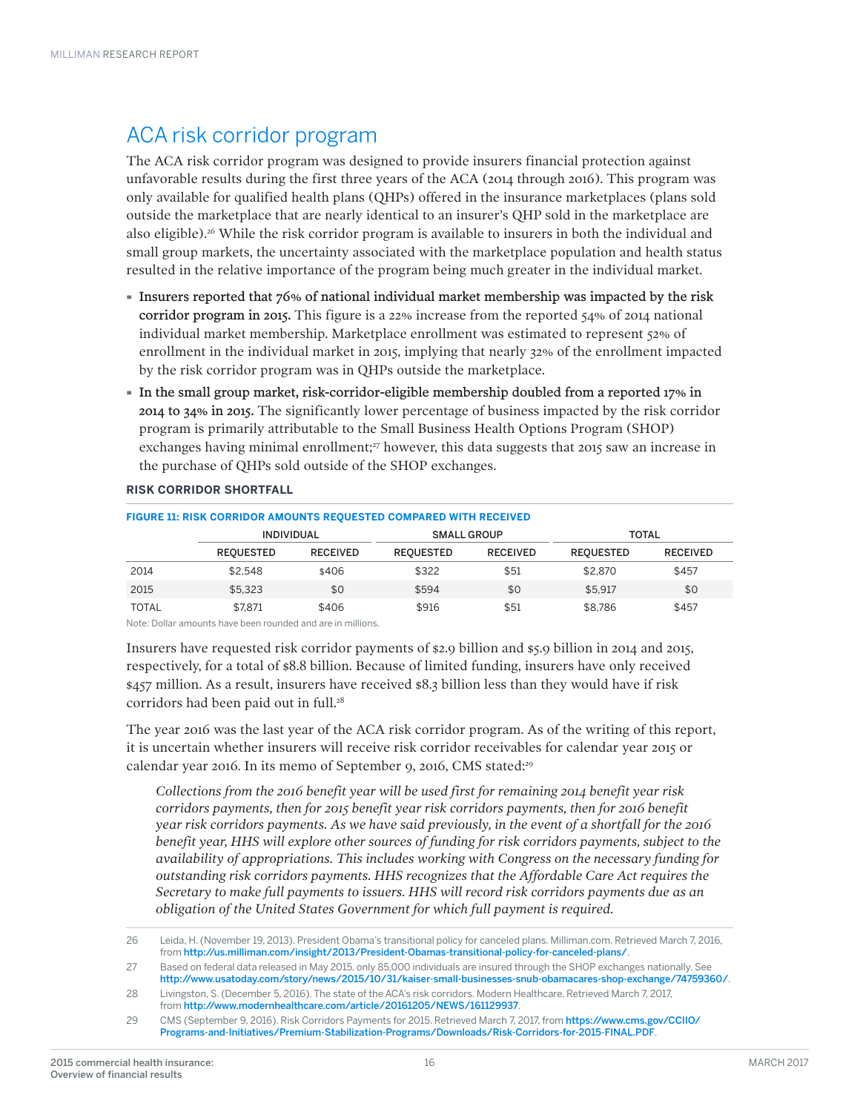### ACA risk corridor program

The ACA risk corridor program was designed to provide insurers financial protection against unfavorable results during the first three years of the ACA (2014 through 2016). This program was only available for qualified health plans (QHPs) offered in the insurance marketplaces (plans sold outside the marketplace that are nearly identical to an insurer's QHP sold in the marketplace are also eligible).<sup>26</sup> While the risk corridor program is available to insurers in both the individual and small group markets, the uncertainty associated with the marketplace population and health status resulted in the relative importance of the program being much greater in the individual market.

- · Insurers reported that 76% of national individual market membership was impacted by the risk corridor program in 2015. This figure is a 22% increase from the reported 54% of 2014 national individual market membership. Marketplace enrollment was estimated to represent 52% of enrollment in the individual market in 2015, implying that nearly 32% of the enrollment impacted by the risk corridor program was in QHPs outside the marketplace.
- · In the small group market, risk-corridor-eligible membership doubled from a reported 17% in 2014 to 34% in 2015. The significantly lower percentage of business impacted by the risk corridor program is primarily attributable to the Small Business Health Options Program (SHOP) exchanges having minimal enrollment;<sup>27</sup> however, this data suggests that 2015 saw an increase in the purchase of QHPs sold outside of the SHOP exchanges.

| FIGURE 11: RISK CORRIDOR AMOUNTS REQUESTED COMPARED WITH RECEIVED |                   |                 |                    |                 |                  |                 |  |  |  |  |
|-------------------------------------------------------------------|-------------------|-----------------|--------------------|-----------------|------------------|-----------------|--|--|--|--|
|                                                                   | <b>INDIVIDUAL</b> |                 | <b>SMALL GROUP</b> |                 | <b>TOTAL</b>     |                 |  |  |  |  |
|                                                                   | <b>REOUESTED</b>  | <b>RECEIVED</b> | <b>REOUESTED</b>   | <b>RECEIVED</b> | <b>REOUESTED</b> | <b>RECEIVED</b> |  |  |  |  |
| 2014                                                              | \$2.548           | \$406           | \$322              | \$51            | \$2,870          | \$457           |  |  |  |  |
| 2015                                                              | \$5.323           | \$0             | \$594              | \$0             | \$5.917          | \$0             |  |  |  |  |
| <b>TOTAL</b>                                                      | \$7.871           | \$406           | \$916              | \$51            | \$8.786          | \$457           |  |  |  |  |

#### **RISK CORRIDOR SHORTFALL**

Note: Dollar amounts have been rounded and are in millions.

Insurers have requested risk corridor payments of \$2.9 billion and \$5.9 billion in 2014 and 2015, respectively, for a total of \$8.8 billion. Because of limited funding, insurers have only received \$457 million. As a result, insurers have received \$8.3 billion less than they would have if risk corridors had been paid out in full.<sup>28</sup>

The year 2016 was the last year of the ACA risk corridor program. As of the writing of this report, it is uncertain whether insurers will receive risk corridor receivables for calendar year 2015 or calendar year 2016. In its memo of September 9, 2016, CMS stated:<sup>29</sup>

*Collections from the 2016 benefit year will be used first for remaining 2014 benefit year risk corridors payments, then for 2015 benefit year risk corridors payments, then for 2016 benefit year risk corridors payments. As we have said previously, in the event of a shortfall for the 2016 benefit year, HHS will explore other sources of funding for risk corridors payments, subject to the availability of appropriations. This includes working with Congress on the necessary funding for outstanding risk corridors payments. HHS recognizes that the Affordable Care Act requires the Secretary to make full payments to issuers. HHS will record risk corridors payments due as an obligation of the United States Government for which full payment is required.* 

<sup>26</sup> Leida, H. (November 19, 2013). President Obama's transitional policy for canceled plans. Milliman.com. Retrieved March 7, 2016, from <http://us.milliman.com/insight/2013/President-Obamas-transitional-policy-for-canceled-plans/>.

<sup>27</sup> Based on federal data released in May 2015, only 85,000 individuals are insured through the SHOP exchanges nationally. See <http://www.usatoday.com/story/news/2015/10/31/kaiser-small-businesses-snub-obamacares-shop-exchange/74759360/>.

<sup>28</sup> Livingston, S. (December 5, 2016). The state of the ACA's risk corridors. Modern Healthcare. Retrieved March 7, 2017, from <http://www.modernhealthcare.com/article/20161205/NEWS/161129937>.

<sup>29</sup> CMS (September 9, 2016). Risk Corridors Payments for 2015. Retrieved March 7, 2017, from [https://www.cms.gov/CCIIO/](https://www.cms.gov/CCIIO/Programs-and-Initiatives/Premium-Stabilization-Programs/Downloads/Risk-Corridors-for-2015-FINAL.PDF) [Programs-and-Initiatives/Premium-Stabilization-Programs/Downloads/Risk-Corridors-for-2015-FINAL.PDF](https://www.cms.gov/CCIIO/Programs-and-Initiatives/Premium-Stabilization-Programs/Downloads/Risk-Corridors-for-2015-FINAL.PDF).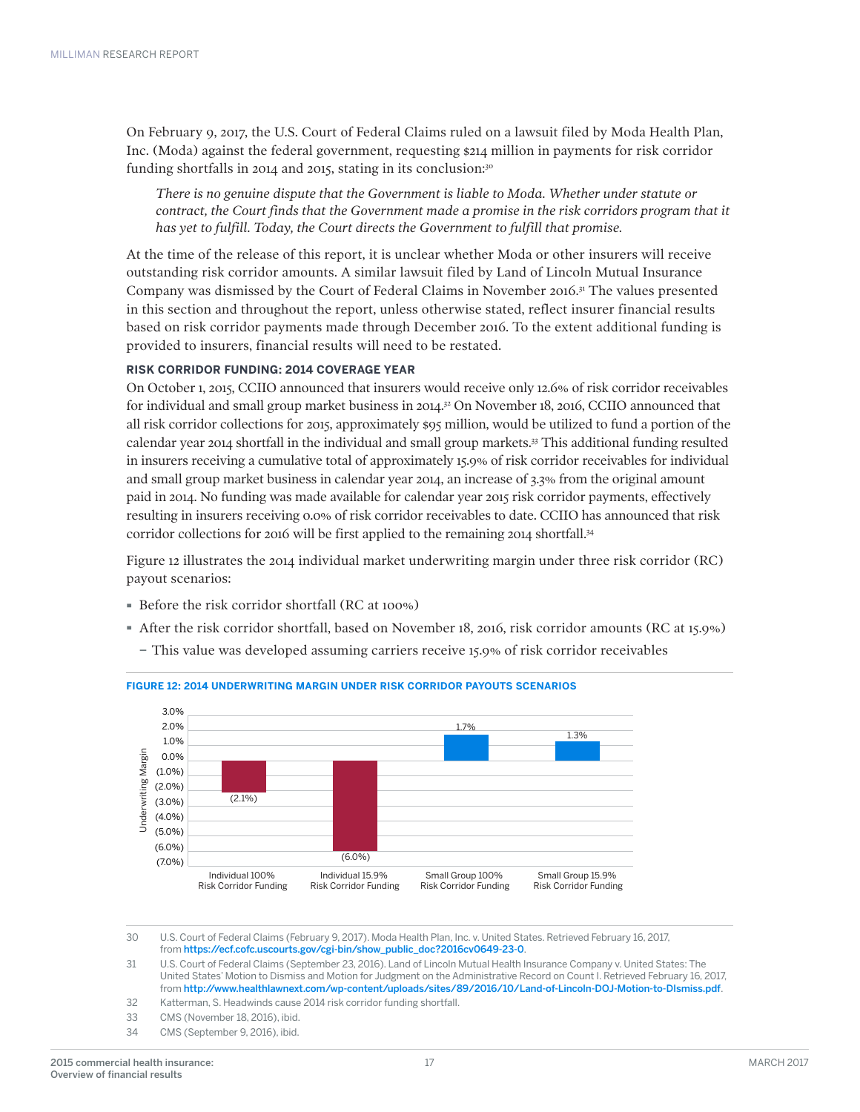On February 9, 2017, the U.S. Court of Federal Claims ruled on a lawsuit filed by Moda Health Plan, Inc. (Moda) against the federal government, requesting \$214 million in payments for risk corridor funding shortfalls in 2014 and 2015, stating in its conclusion:30

*There is no genuine dispute that the Government is liable to Moda. Whether under statute or contract, the Court finds that the Government made a promise in the risk corridors program that it has yet to fulfill. Today, the Court directs the Government to fulfill that promise.* 

At the time of the release of this report, it is unclear whether Moda or other insurers will receive outstanding risk corridor amounts. A similar lawsuit filed by Land of Lincoln Mutual Insurance Company was dismissed by the Court of Federal Claims in November 2016.31 The values presented in this section and throughout the report, unless otherwise stated, reflect insurer financial results based on risk corridor payments made through December 2016. To the extent additional funding is provided to insurers, financial results will need to be restated.

#### **RISK CORRIDOR FUNDING: 2014 COVERAGE YEAR**

On October 1, 2015, CCIIO announced that insurers would receive only 12.6% of risk corridor receivables for individual and small group market business in 2014.<sup>32</sup> On November 18, 2016, CCIIO announced that all risk corridor collections for 2015, approximately \$95 million, would be utilized to fund a portion of the calendar year 2014 shortfall in the individual and small group markets.33 This additional funding resulted in insurers receiving a cumulative total of approximately 15.9% of risk corridor receivables for individual and small group market business in calendar year 2014, an increase of 3.3% from the original amount paid in 2014. No funding was made available for calendar year 2015 risk corridor payments, effectively resulting in insurers receiving 0.0% of risk corridor receivables to date. CCIIO has announced that risk corridor collections for 2016 will be first applied to the remaining 2014 shortfall.34

Figure 12 illustrates the 2014 individual market underwriting margin under three risk corridor (RC) payout scenarios:

- · Before the risk corridor shortfall (RC at 100%)
- · After the risk corridor shortfall, based on November 18, 2016, risk corridor amounts (RC at 15.9%)
- − This value was developed assuming carriers receive 15.9% of risk corridor receivables



#### **FIGURE 12: 2014 UNDERWRITING MARGIN UNDER RISK CORRIDOR PAYOUTS SCENARIOS**

30 U.S. Court of Federal Claims (February 9, 2017). Moda Health Plan, Inc. v. United States. Retrieved February 16, 2017, from [https://ecf.cofc.uscourts.gov/cgi-bin/show\\_public\\_doc?2016cv0649-23-0](https://ecf.cofc.uscourts.gov/cgi-bin/show_public_doc?2016cv0649-23-0).

31 U.S. Court of Federal Claims (September 23, 2016). Land of Lincoln Mutual Health Insurance Company v. United States: The United States' Motion to Dismiss and Motion for Judgment on the Administrative Record on Count I. Retrieved February 16, 2017, from <http://www.healthlawnext.com/wp-content/uploads/sites/89/2016/10/Land-of-Lincoln-DOJ-Motion-to-DIsmiss.pdf>.

- 32 Katterman, S. Headwinds cause 2014 risk corridor funding shortfall.
- 33 CMS (November 18, 2016), ibid.
- 34 CMS (September 9, 2016), ibid.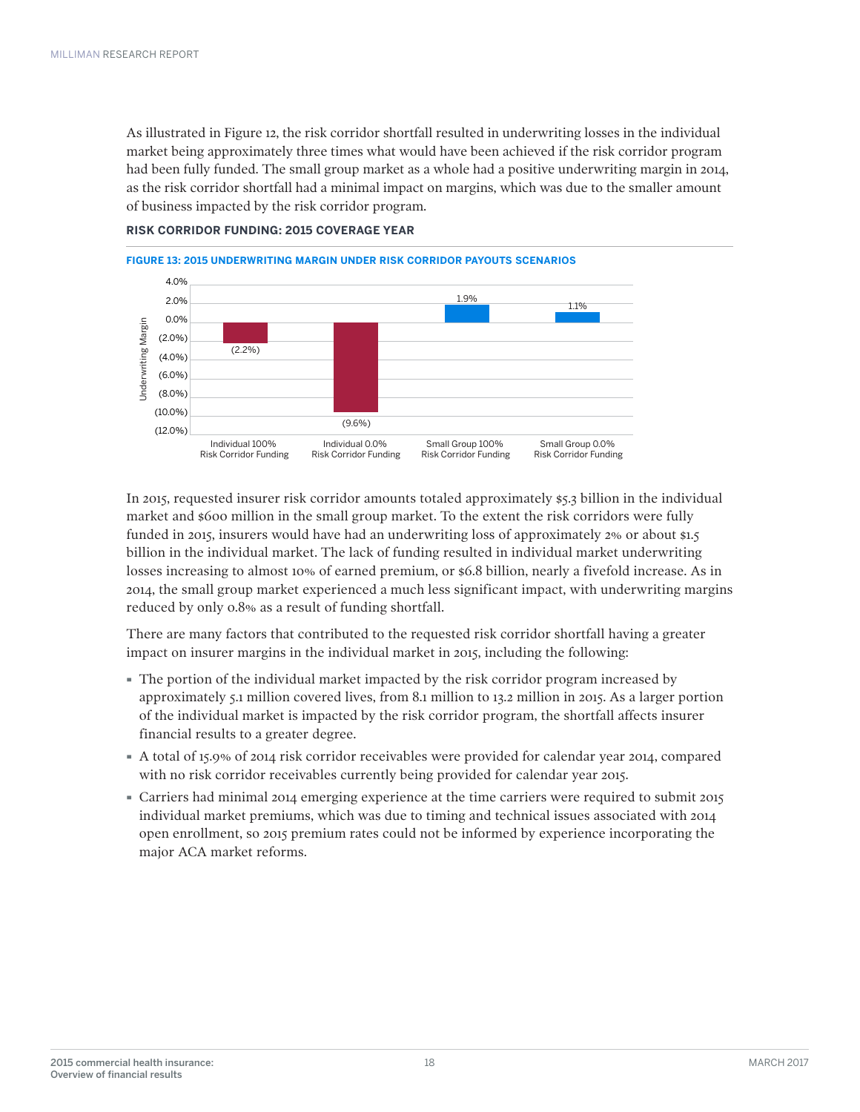As illustrated in Figure 12, the risk corridor shortfall resulted in underwriting losses in the individual market being approximately three times what would have been achieved if the risk corridor program had been fully funded. The small group market as a whole had a positive underwriting margin in 2014, as the risk corridor shortfall had a minimal impact on margins, which was due to the smaller amount of business impacted by the risk corridor program.



**RISK CORRIDOR FUNDING: 2015 COVERAGE YEAR**

In 2015, requested insurer risk corridor amounts totaled approximately \$5.3 billion in the individual market and \$600 million in the small group market. To the extent the risk corridors were fully funded in 2015, insurers would have had an underwriting loss of approximately 2% or about \$1.5 billion in the individual market. The lack of funding resulted in individual market underwriting losses increasing to almost 10% of earned premium, or \$6.8 billion, nearly a fivefold increase. As in 2014, the small group market experienced a much less significant impact, with underwriting margins reduced by only 0.8% as a result of funding shortfall.

There are many factors that contributed to the requested risk corridor shortfall having a greater impact on insurer margins in the individual market in 2015, including the following:

- · The portion of the individual market impacted by the risk corridor program increased by approximately 5.1 million covered lives, from 8.1 million to 13.2 million in 2015. As a larger portion of the individual market is impacted by the risk corridor program, the shortfall affects insurer financial results to a greater degree.
- · A total of 15.9% of 2014 risk corridor receivables were provided for calendar year 2014, compared with no risk corridor receivables currently being provided for calendar year 2015.
- · Carriers had minimal 2014 emerging experience at the time carriers were required to submit 2015 individual market premiums, which was due to timing and technical issues associated with 2014 open enrollment, so 2015 premium rates could not be informed by experience incorporating the major ACA market reforms.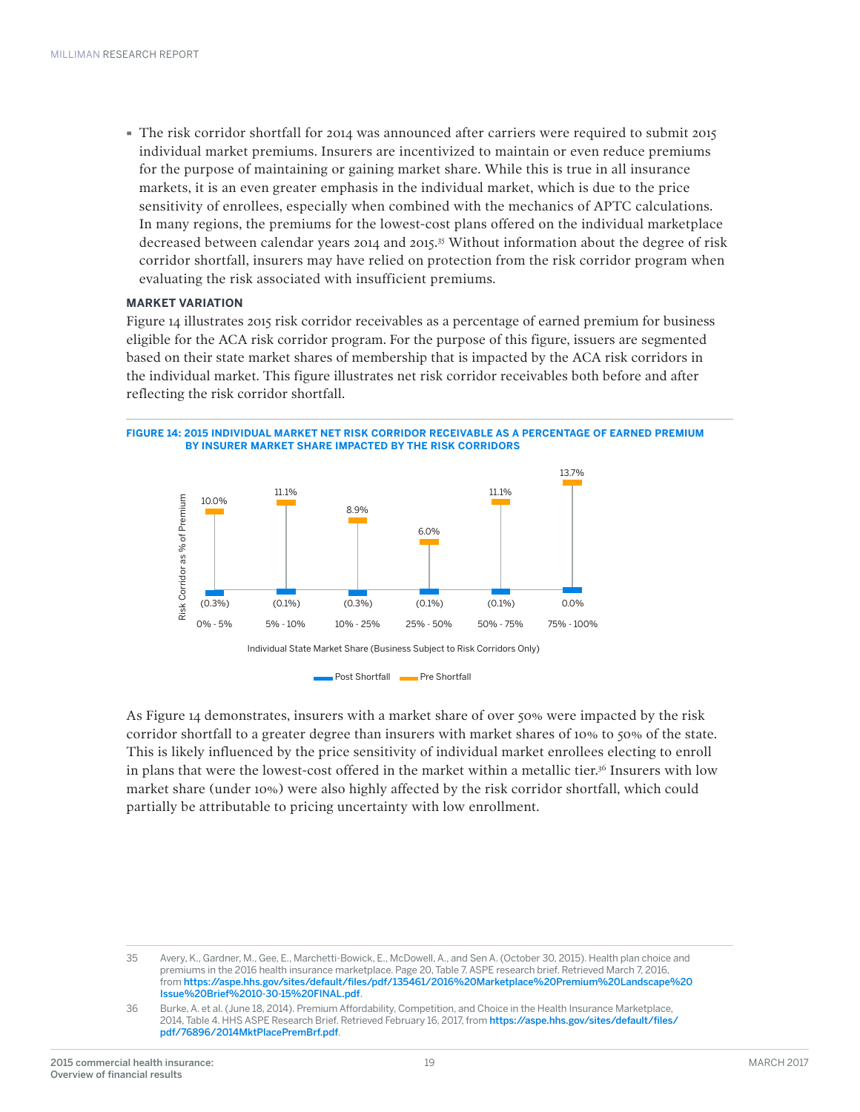· The risk corridor shortfall for 2014 was announced after carriers were required to submit 2015 individual market premiums. Insurers are incentivized to maintain or even reduce premiums for the purpose of maintaining or gaining market share. While this is true in all insurance markets, it is an even greater emphasis in the individual market, which is due to the price sensitivity of enrollees, especially when combined with the mechanics of APTC calculations. In many regions, the premiums for the lowest-cost plans offered on the individual marketplace decreased between calendar years 2014 and 2015.35 Without information about the degree of risk corridor shortfall, insurers may have relied on protection from the risk corridor program when evaluating the risk associated with insufficient premiums.

#### **MARKET VARIATION**

Figure 14 illustrates 2015 risk corridor receivables as a percentage of earned premium for business eligible for the ACA risk corridor program. For the purpose of this figure, issuers are segmented based on their state market shares of membership that is impacted by the ACA risk corridors in the individual market. This figure illustrates net risk corridor receivables both before and after reflecting the risk corridor shortfall.





As Figure 14 demonstrates, insurers with a market share of over 50% were impacted by the risk corridor shortfall to a greater degree than insurers with market shares of 10% to 50% of the state. This is likely influenced by the price sensitivity of individual market enrollees electing to enroll in plans that were the lowest-cost offered in the market within a metallic tier.36 Insurers with low market share (under 10%) were also highly affected by the risk corridor shortfall, which could partially be attributable to pricing uncertainty with low enrollment.

<sup>35</sup> Avery, K., Gardner, M., Gee, E., Marchetti-Bowick, E., McDowell, A., and Sen A. (October 30, 2015). Health plan choice and premiums in the 2016 health insurance marketplace. Page 20, Table 7. ASPE research brief. Retrieved March 7, 2016, from [https://aspe.hhs.gov/sites/default/files/pdf/135461/2016%20Marketplace%20Premium%20Landscape%20](https://aspe.hhs.gov/system/files/pdf/135461/2016%20Marketplace%20Premium%20Landscape%20Issue%20Brief%2010-30-15%20FINAL.pdf) [Issue%20Brief%2010-30-15%20FINAL.pdf](https://aspe.hhs.gov/system/files/pdf/135461/2016%20Marketplace%20Premium%20Landscape%20Issue%20Brief%2010-30-15%20FINAL.pdf).

<sup>36</sup> Burke, A. et al. (June 18, 2014). Premium Affordability, Competition, and Choice in the Health Insurance Marketplace, 2014, Table 4. HHS ASPE Research Brief. Retrieved February 16, 2017, from [https://aspe.hhs.gov/sites/default/files/](https://aspe.hhs.gov/pdf-report/premium-affordability-competition-and-choice-health-insurance-marketplace-2014) [pdf/76896/2014MktPlacePremBrf.pdf](https://aspe.hhs.gov/pdf-report/premium-affordability-competition-and-choice-health-insurance-marketplace-2014).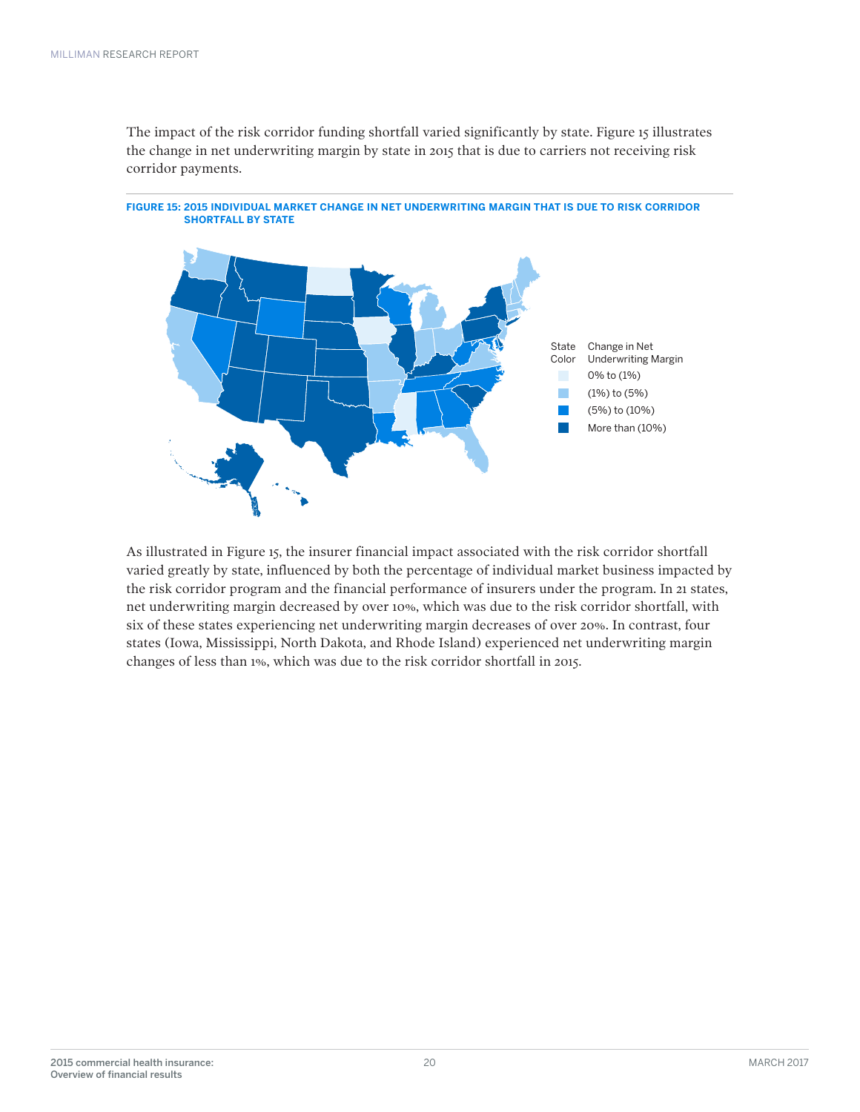The impact of the risk corridor funding shortfall varied significantly by state. Figure 15 illustrates the change in net underwriting margin by state in 2015 that is due to carriers not receiving risk corridor payments.



**FIGURE 15: 2015 INDIVIDUAL MARKET CHANGE IN NET UNDERWRITING MARGIN THAT IS DUE TO RISK CORRIDOR SHORTFALL BY STATE**

As illustrated in Figure 15, the insurer financial impact associated with the risk corridor shortfall varied greatly by state, influenced by both the percentage of individual market business impacted by the risk corridor program and the financial performance of insurers under the program. In 21 states, net underwriting margin decreased by over 10%, which was due to the risk corridor shortfall, with six of these states experiencing net underwriting margin decreases of over 20%. In contrast, four states (Iowa, Mississippi, North Dakota, and Rhode Island) experienced net underwriting margin changes of less than 1%, which was due to the risk corridor shortfall in 2015.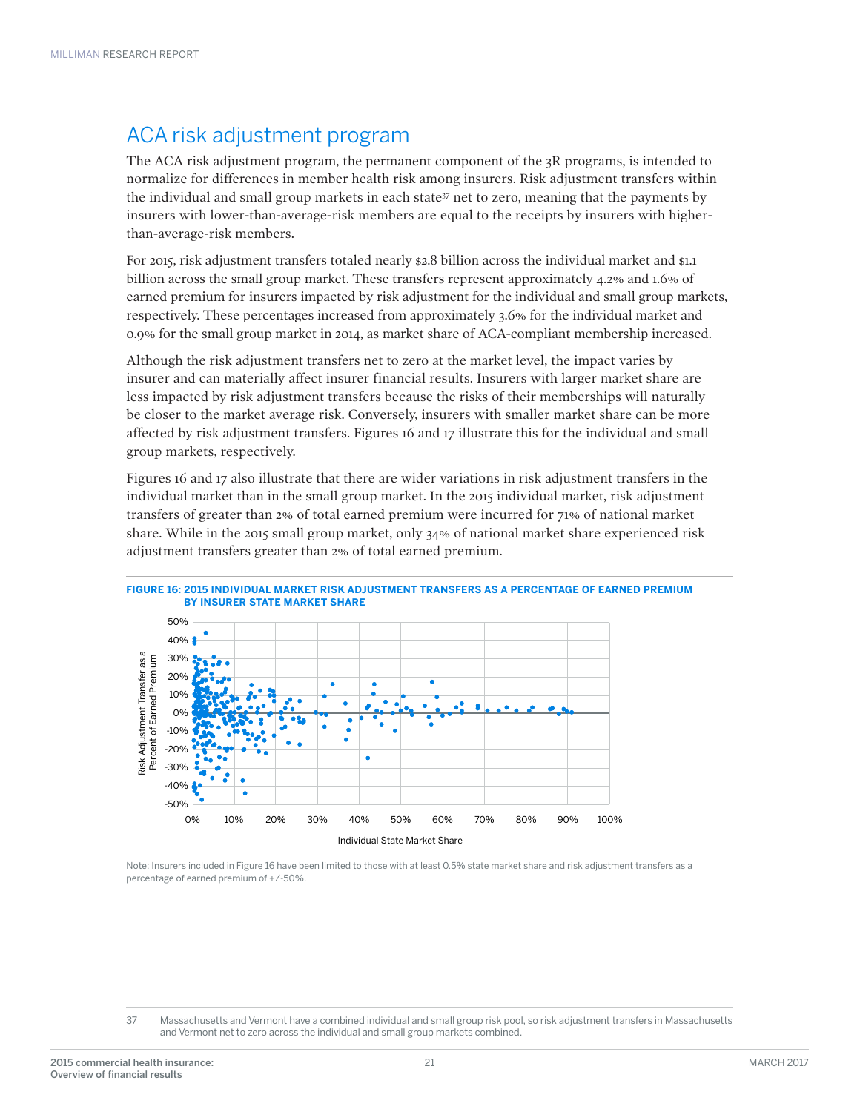### ACA risk adjustment program

The ACA risk adjustment program, the permanent component of the 3R programs, is intended to normalize for differences in member health risk among insurers. Risk adjustment transfers within the individual and small group markets in each state $37$  net to zero, meaning that the payments by insurers with lower-than-average-risk members are equal to the receipts by insurers with higherthan-average-risk members.

For 2015, risk adjustment transfers totaled nearly \$2.8 billion across the individual market and \$1.1 billion across the small group market. These transfers represent approximately 4.2% and 1.6% of earned premium for insurers impacted by risk adjustment for the individual and small group markets, respectively. These percentages increased from approximately 3.6% for the individual market and 0.9% for the small group market in 2014, as market share of ACA-compliant membership increased.

Although the risk adjustment transfers net to zero at the market level, the impact varies by insurer and can materially affect insurer financial results. Insurers with larger market share are less impacted by risk adjustment transfers because the risks of their memberships will naturally be closer to the market average risk. Conversely, insurers with smaller market share can be more affected by risk adjustment transfers. Figures 16 and 17 illustrate this for the individual and small group markets, respectively.

Figures 16 and 17 also illustrate that there are wider variations in risk adjustment transfers in the individual market than in the small group market. In the 2015 individual market, risk adjustment transfers of greater than 2% of total earned premium were incurred for 71% of national market share. While in the 2015 small group market, only 34% of national market share experienced risk adjustment transfers greater than 2% of total earned premium.



Note: Insurers included in Figure 16 have been limited to those with at least 0.5% state market share and risk adjustment transfers as a percentage of earned premium of +/-50%.

<sup>37</sup> Massachusetts and Vermont have a combined individual and small group risk pool, so risk adjustment transfers in Massachusetts and Vermont net to zero across the individual and small group markets combined.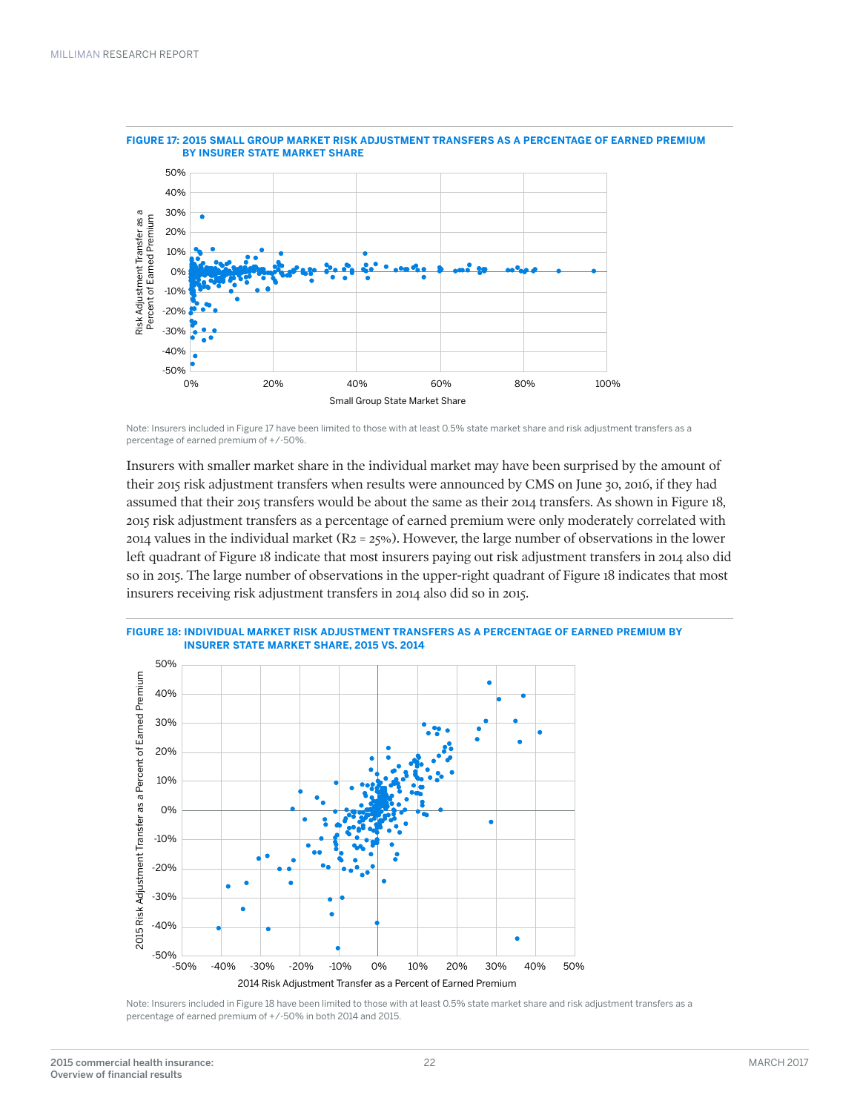

### **FIGURE 17: 2015 SMALL GROUP MARKET RISK ADJUSTMENT TRANSFERS AS A PERCENTAGE OF EARNED PREMIUM**

Note: Insurers included in Figure 17 have been limited to those with at least 0.5% state market share and risk adjustment transfers as a percentage of earned premium of +/-50%.

Insurers with smaller market share in the individual market may have been surprised by the amount of their 2015 risk adjustment transfers when results were announced by CMS on June 30, 2016, if they had assumed that their 2015 transfers would be about the same as their 2014 transfers. As shown in Figure 18, 2015 risk adjustment transfers as a percentage of earned premium were only moderately correlated with 2014 values in the individual market ( $R_2 = 25\%$ ). However, the large number of observations in the lower left quadrant of Figure 18 indicate that most insurers paying out risk adjustment transfers in 2014 also did so in 2015. The large number of observations in the upper-right quadrant of Figure 18 indicates that most insurers receiving risk adjustment transfers in 2014 also did so in 2015.



**FIGURE 18: INDIVIDUAL MARKET RISK ADJUSTMENT TRANSFERS AS A PERCENTAGE OF EARNED PREMIUM BY** 

Note: Insurers included in Figure 18 have been limited to those with at least 0.5% state market share and risk adjustment transfers as a percentage of earned premium of +/-50% in both 2014 and 2015.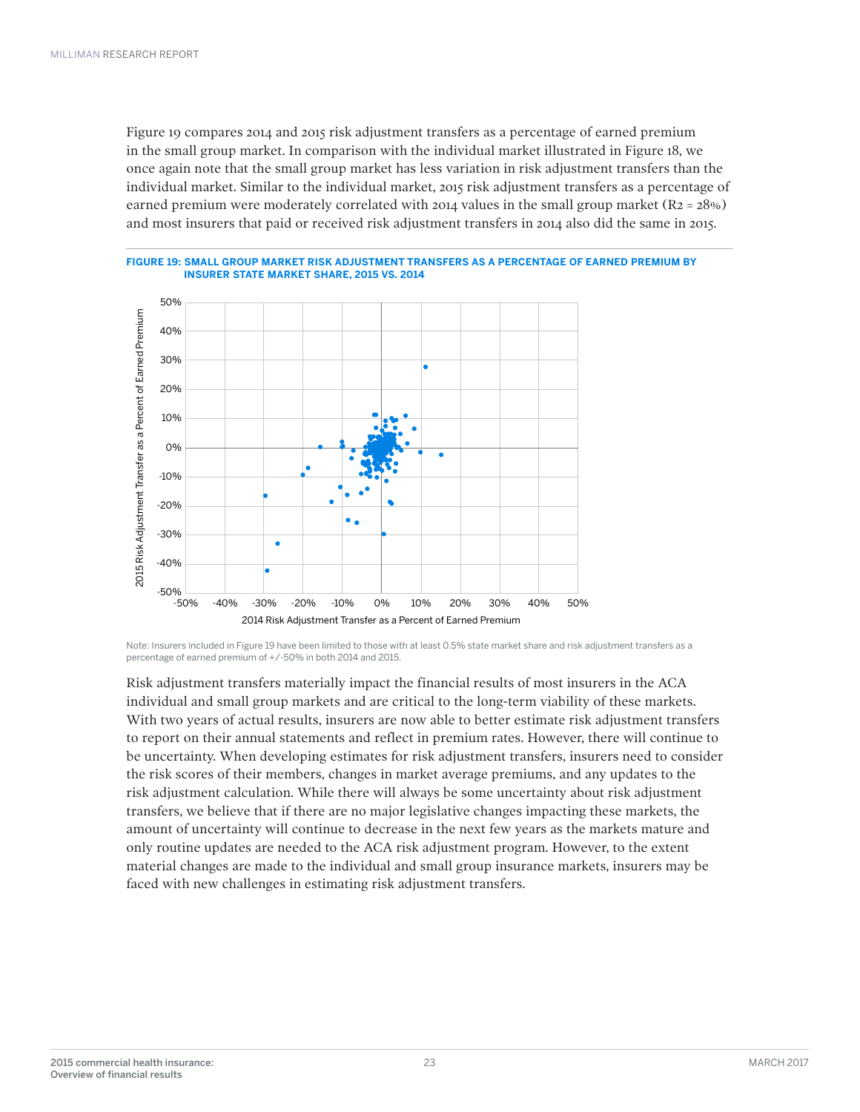Figure 19 compares 2014 and 2015 risk adjustment transfers as a percentage of earned premium in the small group market. In comparison with the individual market illustrated in Figure 18, we once again note that the small group market has less variation in risk adjustment transfers than the individual market. Similar to the individual market, 2015 risk adjustment transfers as a percentage of earned premium were moderately correlated with 2014 values in the small group market ( $R_2 = 28\%$ ) and most insurers that paid or received risk adjustment transfers in 2014 also did the same in 2015.





Note: Insurers included in Figure 19 have been limited to those with at least 0.5% state market share and risk adjustment transfers as a percentage of earned premium of +/-50% in both 2014 and 2015.

Risk adjustment transfers materially impact the financial results of most insurers in the ACA individual and small group markets and are critical to the long-term viability of these markets. With two years of actual results, insurers are now able to better estimate risk adjustment transfers to report on their annual statements and reflect in premium rates. However, there will continue to be uncertainty. When developing estimates for risk adjustment transfers, insurers need to consider the risk scores of their members, changes in market average premiums, and any updates to the risk adjustment calculation. While there will always be some uncertainty about risk adjustment transfers, we believe that if there are no major legislative changes impacting these markets, the amount of uncertainty will continue to decrease in the next few years as the markets mature and only routine updates are needed to the ACA risk adjustment program. However, to the extent material changes are made to the individual and small group insurance markets, insurers may be faced with new challenges in estimating risk adjustment transfers.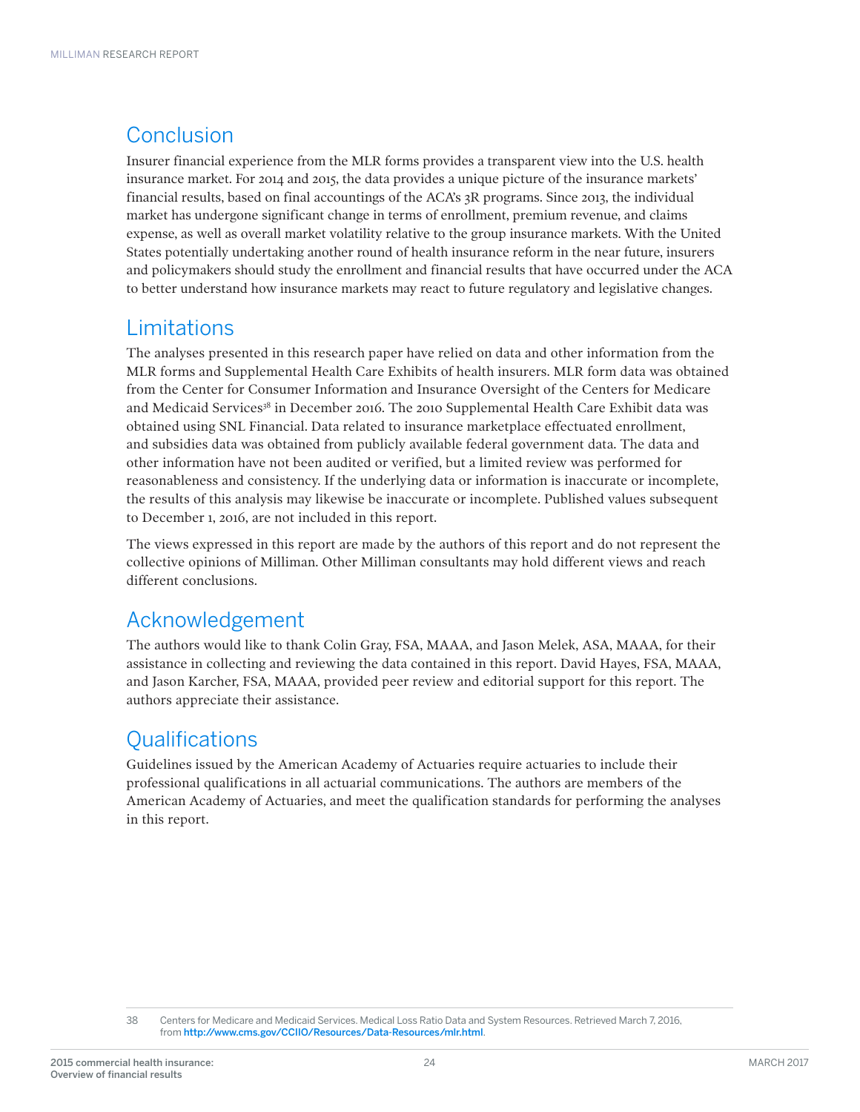### **Conclusion**

Insurer financial experience from the MLR forms provides a transparent view into the U.S. health insurance market. For 2014 and 2015, the data provides a unique picture of the insurance markets' financial results, based on final accountings of the ACA's 3R programs. Since 2013, the individual market has undergone significant change in terms of enrollment, premium revenue, and claims expense, as well as overall market volatility relative to the group insurance markets. With the United States potentially undertaking another round of health insurance reform in the near future, insurers and policymakers should study the enrollment and financial results that have occurred under the ACA to better understand how insurance markets may react to future regulatory and legislative changes.

### Limitations

The analyses presented in this research paper have relied on data and other information from the MLR forms and Supplemental Health Care Exhibits of health insurers. MLR form data was obtained from the Center for Consumer Information and Insurance Oversight of the Centers for Medicare and Medicaid Services<sup>38</sup> in December 2016. The 2010 Supplemental Health Care Exhibit data was obtained using SNL Financial. Data related to insurance marketplace effectuated enrollment, and subsidies data was obtained from publicly available federal government data. The data and other information have not been audited or verified, but a limited review was performed for reasonableness and consistency. If the underlying data or information is inaccurate or incomplete, the results of this analysis may likewise be inaccurate or incomplete. Published values subsequent to December 1, 2016, are not included in this report.

The views expressed in this report are made by the authors of this report and do not represent the collective opinions of Milliman. Other Milliman consultants may hold different views and reach different conclusions.

### Acknowledgement

The authors would like to thank Colin Gray, FSA, MAAA, and Jason Melek, ASA, MAAA, for their assistance in collecting and reviewing the data contained in this report. David Hayes, FSA, MAAA, and Jason Karcher, FSA, MAAA, provided peer review and editorial support for this report. The authors appreciate their assistance.

### **Qualifications**

Guidelines issued by the American Academy of Actuaries require actuaries to include their professional qualifications in all actuarial communications. The authors are members of the American Academy of Actuaries, and meet the qualification standards for performing the analyses in this report.

<sup>38</sup> Centers for Medicare and Medicaid Services. Medical Loss Ratio Data and System Resources. Retrieved March 7, 2016, from [http://www.cms.gov/CCIIO/Resources/Data-Resources/mlr.html](https://www.cms.gov/CCIIO/Resources/Data-Resources/mlr.html).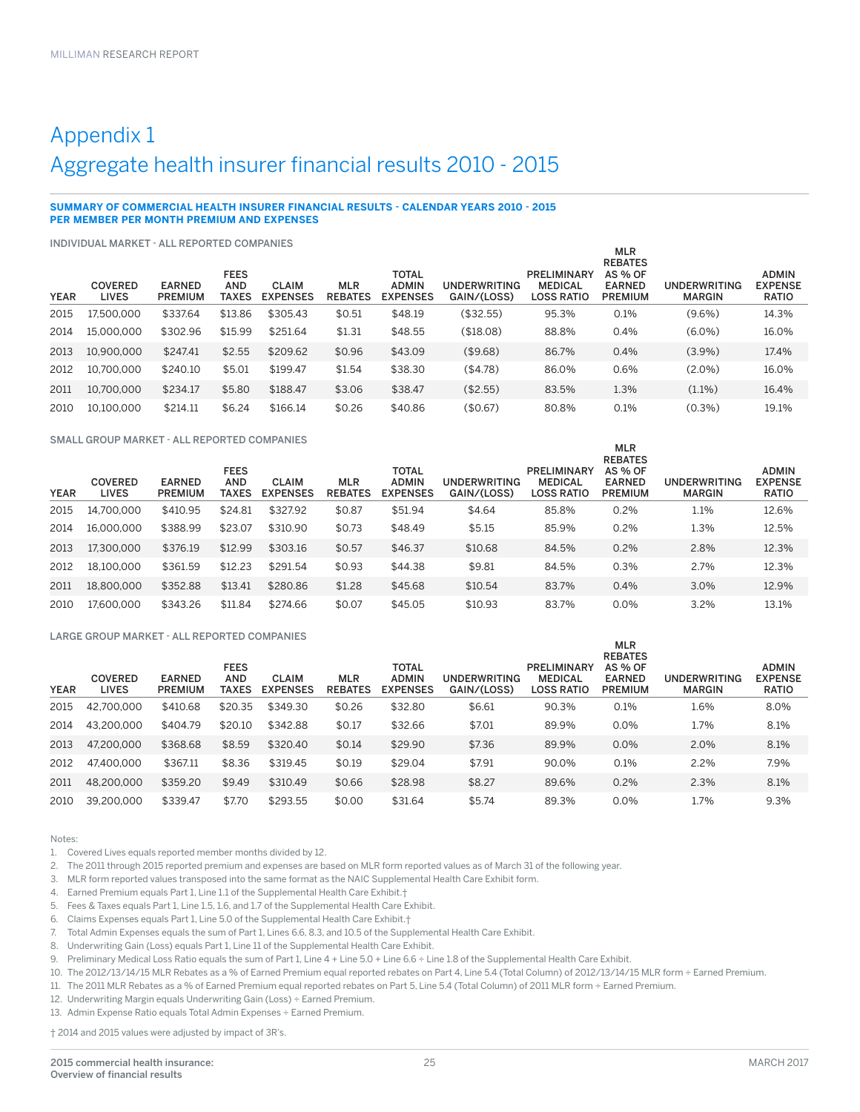### Appendix 1 Aggregate health insurer financial results 2010 - 2015

#### **SUMMARY OF COMMERCIAL HEALTH INSURER FINANCIAL RESULTS - CALENDAR YEARS 2010 - 2015 PER MEMBER PER MONTH PREMIUM AND EXPENSES**

INDIVIDUAL MARKET - ALL REPORTED COMPANIES

| <b>YEAR</b> | 11 Y DI V I DUAL IVIAI\I\L I<br><b>COVERED</b><br><b>LIVES</b> | ALLINEI VINTLD OVIIII ANILO<br><b>EARNED</b><br><b>PREMIUM</b> | <b>FEES</b><br><b>AND</b><br>TAXES | <b>CLAIM</b><br><b>EXPENSES</b> | <b>MLR</b><br><b>REBATES</b> | <b>TOTAL</b><br><b>ADMIN</b><br><b>EXPENSES</b> | UNDERWRITING<br>GAIN/(LOSS) | <b>PRELIMINARY</b><br><b>MEDICAL</b><br><b>LOSS RATIO</b> | <b>MLR</b><br><b>REBATES</b><br><b>AS % OF</b><br><b>EARNED</b><br><b>PREMIUM</b> | <b>UNDERWRITING</b><br><b>MARGIN</b> | <b>ADMIN</b><br><b>EXPENSE</b><br><b>RATIO</b> |
|-------------|----------------------------------------------------------------|----------------------------------------------------------------|------------------------------------|---------------------------------|------------------------------|-------------------------------------------------|-----------------------------|-----------------------------------------------------------|-----------------------------------------------------------------------------------|--------------------------------------|------------------------------------------------|
| 2015        | 17.500.000                                                     | \$337.64                                                       | \$13.86                            | \$305.43                        | \$0.51                       | \$48.19                                         | (\$32.55)                   | 95.3%                                                     | 0.1%                                                                              | $(9.6\%)$                            | 14.3%                                          |
| 2014        | 15.000.000                                                     | \$302.96                                                       | \$15.99                            | \$251.64                        | \$1.31                       | \$48.55                                         | (\$18.08)                   | 88.8%                                                     | 0.4%                                                                              | $(6.0\%)$                            | 16.0%                                          |
| 2013        | 10.900.000                                                     | \$247.41                                                       | \$2.55                             | \$209.62                        | \$0.96                       | \$43.09                                         | (\$9.68)                    | 86.7%                                                     | 0.4%                                                                              | $(3.9\%)$                            | 17.4%                                          |
| 2012        | 10.700.000                                                     | \$240.10                                                       | \$5.01                             | \$199.47                        | \$1.54                       | \$38.30                                         | (\$4.78)                    | 86.0%                                                     | 0.6%                                                                              | $(2.0\%)$                            | 16.0%                                          |
| 2011        | 10.700.000                                                     | \$234.17                                                       | \$5.80                             | \$188.47                        | \$3.06                       | \$38.47                                         | (\$2.55)                    | 83.5%                                                     | 1.3%                                                                              | $(1.1\%)$                            | 16.4%                                          |
| 2010        | 10.100.000                                                     | \$214.11                                                       | \$6.24                             | \$166.14                        | \$0.26                       | \$40.86                                         | (\$0.67)                    | 80.8%                                                     | 0.1%                                                                              | $(0.3\%)$                            | 19.1%                                          |

SMALL GROUP MARKET - ALL REPORTED COMPANIES

| <b>YEAR</b> | <b>COVERED</b><br><b>LIVES</b> | <b>EARNED</b><br><b>PREMIUM</b> | <b>FEES</b><br><b>AND</b><br><b>TAXES</b> | <b>CLAIM</b><br><b>EXPENSES</b> | <b>MLR</b><br><b>REBATES</b> | <b>TOTAL</b><br><b>ADMIN</b><br><b>EXPENSES</b> | <b>UNDERWRITING</b><br>GAIN/(LOSS) | PRELIMINARY<br><b>MEDICAL</b><br><b>LOSS RATIO</b> | $111 - 13$<br><b>REBATES</b><br><b>AS % OF</b><br><b>EARNED</b><br><b>PREMIUM</b> | UNDERWRITING<br><b>MARGIN</b> | <b>ADMIN</b><br><b>EXPENSE</b><br><b>RATIO</b> |
|-------------|--------------------------------|---------------------------------|-------------------------------------------|---------------------------------|------------------------------|-------------------------------------------------|------------------------------------|----------------------------------------------------|-----------------------------------------------------------------------------------|-------------------------------|------------------------------------------------|
| 2015        | 14.700.000                     | \$410.95                        | \$24.81                                   | \$327.92                        | \$0.87                       | \$51.94                                         | \$4.64                             | 85.8%                                              | 0.2%                                                                              | 1.1%                          | 12.6%                                          |
| 2014        | 16.000.000                     | \$388.99                        | \$23.07                                   | \$310.90                        | \$0.73                       | \$48.49                                         | \$5.15                             | 85.9%                                              | 0.2%                                                                              | 1.3%                          | 12.5%                                          |
| 2013        | 17.300.000                     | \$376.19                        | \$12.99                                   | \$303.16                        | \$0.57                       | \$46.37                                         | \$10.68                            | 84.5%                                              | 0.2%                                                                              | 2.8%                          | 12.3%                                          |
| 2012        | 18.100.000                     | \$361.59                        | \$12.23                                   | \$291.54                        | \$0.93                       | \$44.38                                         | \$9.81                             | 84.5%                                              | 0.3%                                                                              | 2.7%                          | 12.3%                                          |
| 2011        | 18,800,000                     | \$352.88                        | \$13.41                                   | \$280.86                        | \$1.28                       | \$45.68                                         | \$10.54                            | 83.7%                                              | 0.4%                                                                              | 3.0%                          | 12.9%                                          |
| 2010        | 17.600.000                     | \$343.26                        | \$11.84                                   | \$274.66                        | \$0.07                       | \$45.05                                         | \$10.93                            | 83.7%                                              | 0.0%                                                                              | 3.2%                          | 13.1%                                          |

MLR

ML<sub>D</sub>

#### LARGE GROUP MARKET - ALL REPORTED COMPANIES

|             |                                |                                 |                                           |                                 |                              |                                                 |                             |                                                           | $\cdots$<br><b>REBATES</b>                        |                                      |                                                |
|-------------|--------------------------------|---------------------------------|-------------------------------------------|---------------------------------|------------------------------|-------------------------------------------------|-----------------------------|-----------------------------------------------------------|---------------------------------------------------|--------------------------------------|------------------------------------------------|
| <b>YEAR</b> | <b>COVERED</b><br><b>LIVES</b> | <b>EARNED</b><br><b>PREMIUM</b> | <b>FEES</b><br><b>AND</b><br><b>TAXES</b> | <b>CLAIM</b><br><b>EXPENSES</b> | <b>MLR</b><br><b>REBATES</b> | <b>TOTAL</b><br><b>ADMIN</b><br><b>EXPENSES</b> | UNDERWRITING<br>GAIN/(LOSS) | <b>PRELIMINARY</b><br><b>MEDICAL</b><br><b>LOSS RATIO</b> | <b>AS % OF</b><br><b>EARNED</b><br><b>PREMIUM</b> | <b>UNDERWRITING</b><br><b>MARGIN</b> | <b>ADMIN</b><br><b>EXPENSE</b><br><b>RATIO</b> |
| 2015        | 42.700.000                     | \$410.68                        | \$20.35                                   | \$349.30                        | \$0.26                       | \$32.80                                         | \$6.61                      | 90.3%                                                     | 0.1%                                              | 1.6%                                 | 8.0%                                           |
| 2014        | 43.200.000                     | \$404.79                        | \$20.10                                   | \$342.88                        | \$0.17                       | \$32.66                                         | \$7.01                      | 89.9%                                                     | 0.0%                                              | 1.7%                                 | 8.1%                                           |
| 2013        | 47.200.000                     | \$368.68                        | \$8.59                                    | \$320.40                        | \$0.14                       | \$29.90                                         | \$7.36                      | 89.9%                                                     | $0.0\%$                                           | 2.0%                                 | 8.1%                                           |
| 2012        | 47.400.000                     | \$367.11                        | \$8.36                                    | \$319.45                        | \$0.19                       | \$29.04                                         | \$7.91                      | 90.0%                                                     | 0.1%                                              | 2.2%                                 | 7.9%                                           |
| 2011        | 48,200,000                     | \$359.20                        | \$9.49                                    | \$310.49                        | \$0.66                       | \$28.98                                         | \$8.27                      | 89.6%                                                     | 0.2%                                              | 2.3%                                 | 8.1%                                           |
| 2010        | 39.200.000                     | \$339.47                        | \$7.70                                    | \$293.55                        | \$0.00                       | \$31.64                                         | \$5.74                      | 89.3%                                                     | $0.0\%$                                           | 1.7%                                 | 9.3%                                           |

Notes:

- 1. Covered Lives equals reported member months divided by 12.
- 2. The 2011 through 2015 reported premium and expenses are based on MLR form reported values as of March 31 of the following year.
- 3. MLR form reported values transposed into the same format as the NAIC Supplemental Health Care Exhibit form.
- 4. Earned Premium equals Part 1, Line 1.1 of the Supplemental Health Care Exhibit.†
- 5. Fees & Taxes equals Part 1, Line 1.5, 1.6, and 1.7 of the Supplemental Health Care Exhibit.
- 6. Claims Expenses equals Part 1, Line 5.0 of the Supplemental Health Care Exhibit.†
- 7. Total Admin Expenses equals the sum of Part 1, Lines 6.6, 8.3, and 10.5 of the Supplemental Health Care Exhibit.
- 8. Underwriting Gain (Loss) equals Part 1, Line 11 of the Supplemental Health Care Exhibit.
- 9. Preliminary Medical Loss Ratio equals the sum of Part 1, Line 4 + Line 5.0 + Line 6.6 ÷ Line 1.8 of the Supplemental Health Care Exhibit.
- 10. The 2012/13/14/15 MLR Rebates as a % of Earned Premium equal reported rebates on Part 4, Line 5.4 (Total Column) of 2012/13/14/15 MLR form ÷ Earned Premium.
- 11. The 2011 MLR Rebates as a % of Earned Premium equal reported rebates on Part 5, Line 5.4 (Total Column) of 2011 MLR form ÷ Earned Premium.
- 12. Underwriting Margin equals Underwriting Gain (Loss) ÷ Earned Premium.
- 13. Admin Expense Ratio equals Total Admin Expenses ÷ Earned Premium.

† 2014 and 2015 values were adjusted by impact of 3R's.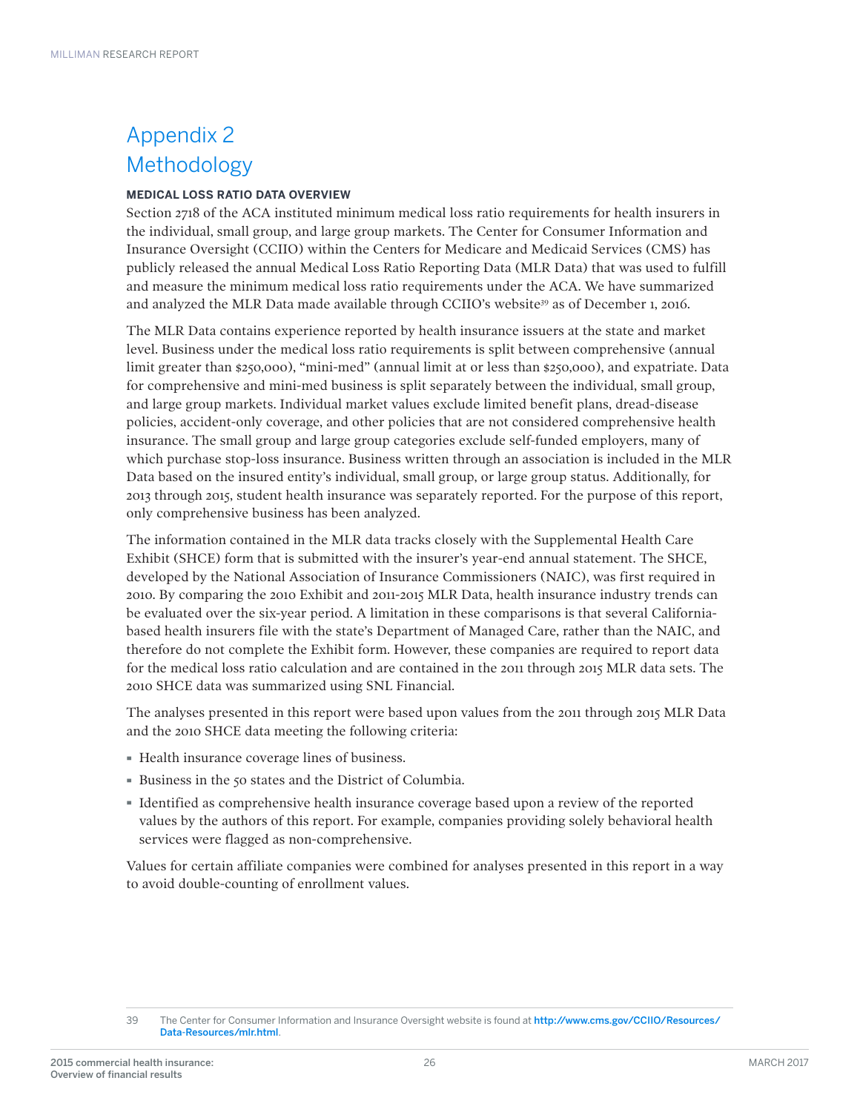### Appendix 2 Methodology

#### **MEDICAL LOSS RATIO DATA OVERVIEW**

Section 2718 of the ACA instituted minimum medical loss ratio requirements for health insurers in the individual, small group, and large group markets. The Center for Consumer Information and Insurance Oversight (CCIIO) within the Centers for Medicare and Medicaid Services (CMS) has publicly released the annual Medical Loss Ratio Reporting Data (MLR Data) that was used to fulfill and measure the minimum medical loss ratio requirements under the ACA. We have summarized and analyzed the MLR Data made available through CCIIO's website<sup>39</sup> as of December 1, 2016.

The MLR Data contains experience reported by health insurance issuers at the state and market level. Business under the medical loss ratio requirements is split between comprehensive (annual limit greater than \$250,000), "mini-med" (annual limit at or less than \$250,000), and expatriate. Data for comprehensive and mini-med business is split separately between the individual, small group, and large group markets. Individual market values exclude limited benefit plans, dread-disease policies, accident-only coverage, and other policies that are not considered comprehensive health insurance. The small group and large group categories exclude self-funded employers, many of which purchase stop-loss insurance. Business written through an association is included in the MLR Data based on the insured entity's individual, small group, or large group status. Additionally, for 2013 through 2015, student health insurance was separately reported. For the purpose of this report, only comprehensive business has been analyzed.

The information contained in the MLR data tracks closely with the Supplemental Health Care Exhibit (SHCE) form that is submitted with the insurer's year-end annual statement. The SHCE, developed by the National Association of Insurance Commissioners (NAIC), was first required in 2010. By comparing the 2010 Exhibit and 2011-2015 MLR Data, health insurance industry trends can be evaluated over the six-year period. A limitation in these comparisons is that several Californiabased health insurers file with the state's Department of Managed Care, rather than the NAIC, and therefore do not complete the Exhibit form. However, these companies are required to report data for the medical loss ratio calculation and are contained in the 2011 through 2015 MLR data sets. The 2010 SHCE data was summarized using SNL Financial.

The analyses presented in this report were based upon values from the 2011 through 2015 MLR Data and the 2010 SHCE data meeting the following criteria:

- · Health insurance coverage lines of business.
- · Business in the 50 states and the District of Columbia.
- · Identified as comprehensive health insurance coverage based upon a review of the reported values by the authors of this report. For example, companies providing solely behavioral health services were flagged as non-comprehensive.

Values for certain affiliate companies were combined for analyses presented in this report in a way to avoid double-counting of enrollment values.

<sup>39</sup> The Center for Consumer Information and Insurance Oversight website is found at [http://www.cms.gov/CCIIO/Resources/](https://www.cms.gov/CCIIO/Resources/Data-Resources/mlr.html) [Data-Resources/mlr.html](https://www.cms.gov/CCIIO/Resources/Data-Resources/mlr.html).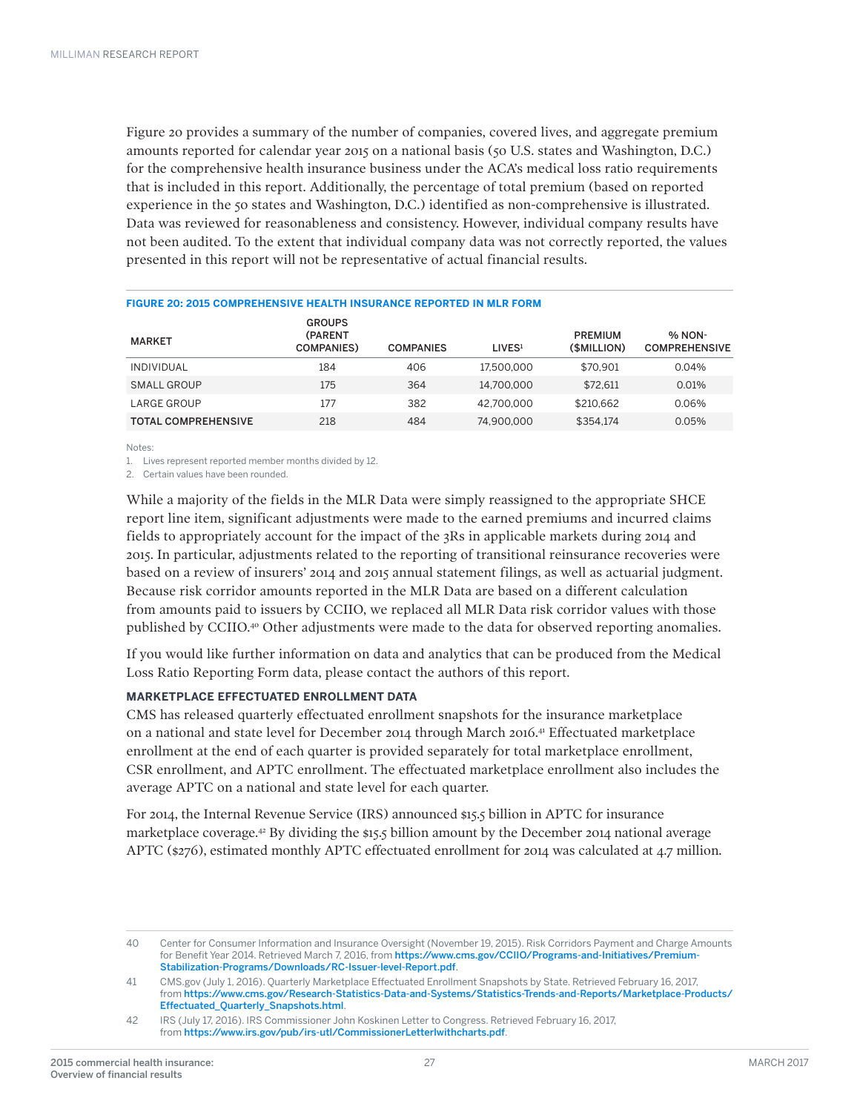Figure 20 provides a summary of the number of companies, covered lives, and aggregate premium amounts reported for calendar year 2015 on a national basis (50 U.S. states and Washington, D.C.) for the comprehensive health insurance business under the ACA's medical loss ratio requirements that is included in this report. Additionally, the percentage of total premium (based on reported experience in the 50 states and Washington, D.C.) identified as non-comprehensive is illustrated. Data was reviewed for reasonableness and consistency. However, individual company results have not been audited. To the extent that individual company data was not correctly reported, the values presented in this report will not be representative of actual financial results.

| <b>MARKET</b>              | <b>GROUPS</b><br>(PARENT<br><b>COMPANIES</b> ) | <b>COMPANIES</b> | LIVES <sup>1</sup> | <b>PREMIUM</b><br>(SMILLION) | % NON-<br><b>COMPREHENSIVE</b> |
|----------------------------|------------------------------------------------|------------------|--------------------|------------------------------|--------------------------------|
| <b>INDIVIDUAL</b>          | 184                                            | 406              | 17.500.000         | \$70.901                     | 0.04%                          |
| SMALL GROUP                | 175                                            | 364              | 14.700.000         | \$72.611                     | 0.01%                          |
| LARGE GROUP                | 177                                            | 382              | 42.700.000         | \$210.662                    | 0.06%                          |
| <b>TOTAL COMPREHENSIVE</b> | 218                                            | 484              | 74.900.000         | \$354.174                    | 0.05%                          |

#### **FIGURE 20: 2015 COMPREHENSIVE HEALTH INSURANCE REPORTED IN MLR FORM**

Notes:

1. Lives represent reported member months divided by 12.

2. Certain values have been rounded.

While a majority of the fields in the MLR Data were simply reassigned to the appropriate SHCE report line item, significant adjustments were made to the earned premiums and incurred claims fields to appropriately account for the impact of the 3Rs in applicable markets during 2014 and 2015. In particular, adjustments related to the reporting of transitional reinsurance recoveries were based on a review of insurers' 2014 and 2015 annual statement filings, as well as actuarial judgment. Because risk corridor amounts reported in the MLR Data are based on a different calculation from amounts paid to issuers by CCIIO, we replaced all MLR Data risk corridor values with those published by CCIIO.40 Other adjustments were made to the data for observed reporting anomalies.

If you would like further information on data and analytics that can be produced from the Medical Loss Ratio Reporting Form data, please contact the authors of this report.

#### **MARKETPLACE EFFECTUATED ENROLLMENT DATA**

CMS has released quarterly effectuated enrollment snapshots for the insurance marketplace on a national and state level for December 2014 through March 2016.41 Effectuated marketplace enrollment at the end of each quarter is provided separately for total marketplace enrollment, CSR enrollment, and APTC enrollment. The effectuated marketplace enrollment also includes the average APTC on a national and state level for each quarter.

For 2014, the Internal Revenue Service (IRS) announced \$15.5 billion in APTC for insurance marketplace coverage.42 By dividing the \$15.5 billion amount by the December 2014 national average APTC (\$276), estimated monthly APTC effectuated enrollment for 2014 was calculated at 4.7 million.

<sup>40</sup> Center for Consumer Information and Insurance Oversight (November 19, 2015). Risk Corridors Payment and Charge Amounts for Benefit Year 2014. Retrieved March 7, 2016, from [https://www.cms.gov/CCIIO/Programs-and-Initiatives/Premium-](https://www.cms.gov/CCIIO/Programs-and-Initiatives/Premium-Stabilization-Programs/Downloads/RC-Issuer-level-Report.pdf)[Stabilization-Programs/Downloads/RC-Issuer-level-Report.pdf](https://www.cms.gov/CCIIO/Programs-and-Initiatives/Premium-Stabilization-Programs/Downloads/RC-Issuer-level-Report.pdf).

<sup>41</sup> CMS.gov (July 1, 2016). Quarterly Marketplace Effectuated Enrollment Snapshots by State. Retrieved February 16, 2017, from [https://www.cms.gov/Research-Statistics-Data-and-Systems/Statistics-Trends-and-Reports/Marketplace-Products/](https://www.cms.gov/Research-Statistics-Data-and-Systems/Statistics-Trends-and-Reports/Marketplace-Products/Effectuated_Quarterly_Snapshots.html) [Effectuated\\_Quarterly\\_Snapshots.html](https://www.cms.gov/Research-Statistics-Data-and-Systems/Statistics-Trends-and-Reports/Marketplace-Products/Effectuated_Quarterly_Snapshots.html).

<sup>42</sup> IRS (July 17, 2016). IRS Commissioner John Koskinen Letter to Congress. Retrieved February 16, 2017, from <https://www.irs.gov/pub/irs-utl/CommissionerLetterlwithcharts.pdf>.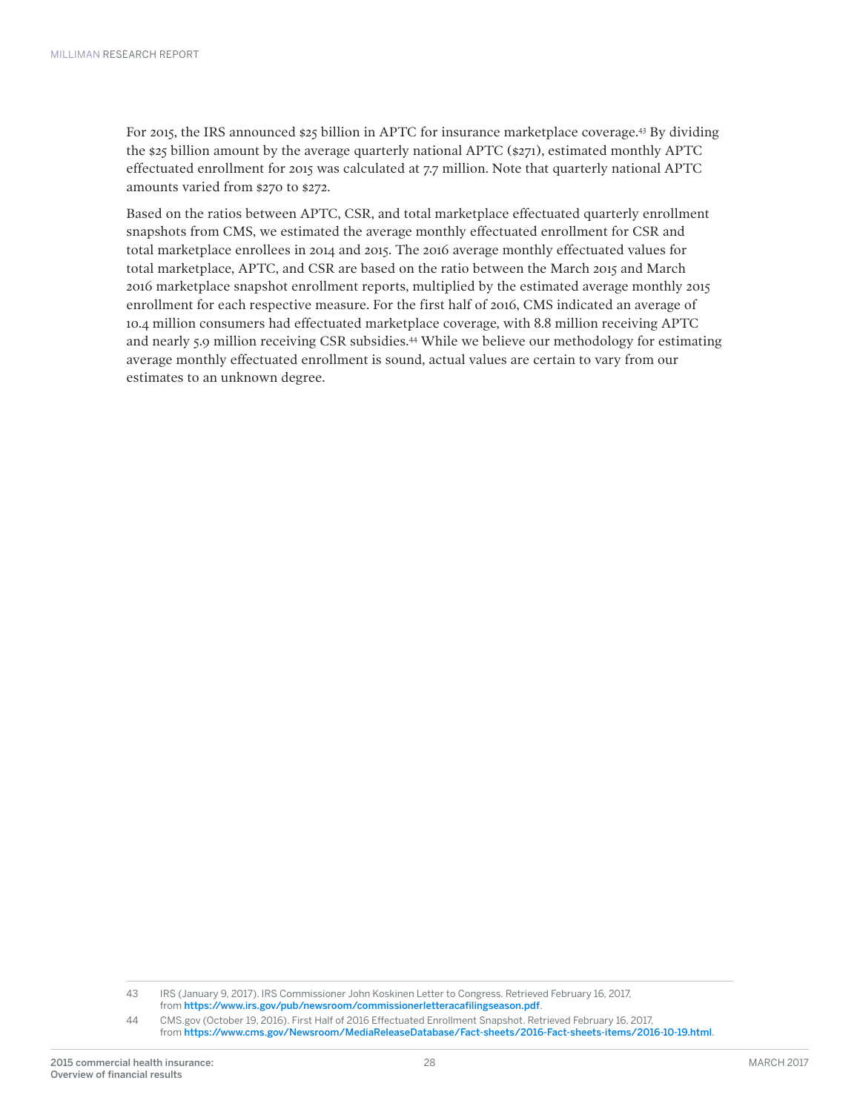For 2015, the IRS announced \$25 billion in APTC for insurance marketplace coverage.<sup>43</sup> By dividing the \$25 billion amount by the average quarterly national APTC (\$271), estimated monthly APTC effectuated enrollment for 2015 was calculated at 7.7 million. Note that quarterly national APTC amounts varied from \$270 to \$272.

Based on the ratios between APTC, CSR, and total marketplace effectuated quarterly enrollment snapshots from CMS, we estimated the average monthly effectuated enrollment for CSR and total marketplace enrollees in 2014 and 2015. The 2016 average monthly effectuated values for total marketplace, APTC, and CSR are based on the ratio between the March 2015 and March 2016 marketplace snapshot enrollment reports, multiplied by the estimated average monthly 2015 enrollment for each respective measure. For the first half of 2016, CMS indicated an average of 10.4 million consumers had effectuated marketplace coverage, with 8.8 million receiving APTC and nearly 5.9 million receiving CSR subsidies.44 While we believe our methodology for estimating average monthly effectuated enrollment is sound, actual values are certain to vary from our estimates to an unknown degree.

43 IRS (January 9, 2017). IRS Commissioner John Koskinen Letter to Congress. Retrieved February 16, 2017, from <https://www.irs.gov/pub/newsroom/commissionerletteracafilingseason.pdf>.

44 CMS.gov (October 19, 2016). First Half of 2016 Effectuated Enrollment Snapshot. Retrieved February 16, 2017, from <https://www.cms.gov/Newsroom/MediaReleaseDatabase/Fact-sheets/2016-Fact-sheets-items/2016-10-19.html>.